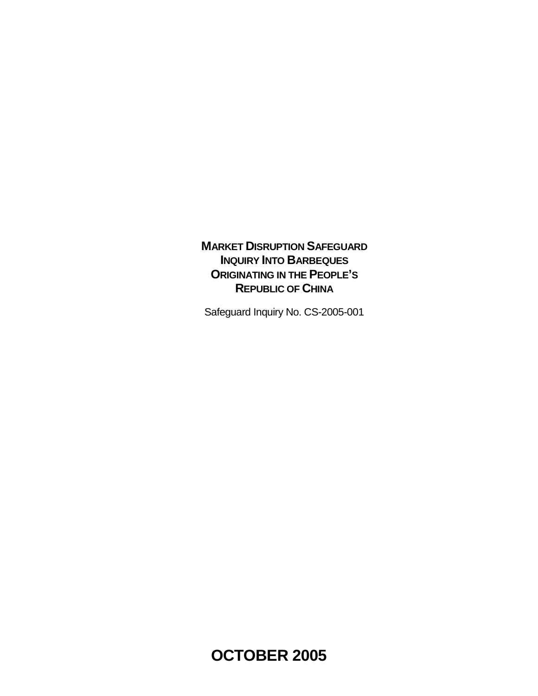# **MARKET DISRUPTION SAFEGUARD INQUIRY INTO BARBEQUES ORIGINATING IN THE PEOPLE'S REPUBLIC OF CHINA**

Safeguard Inquiry No. CS-2005-001

**OCTOBER 2005**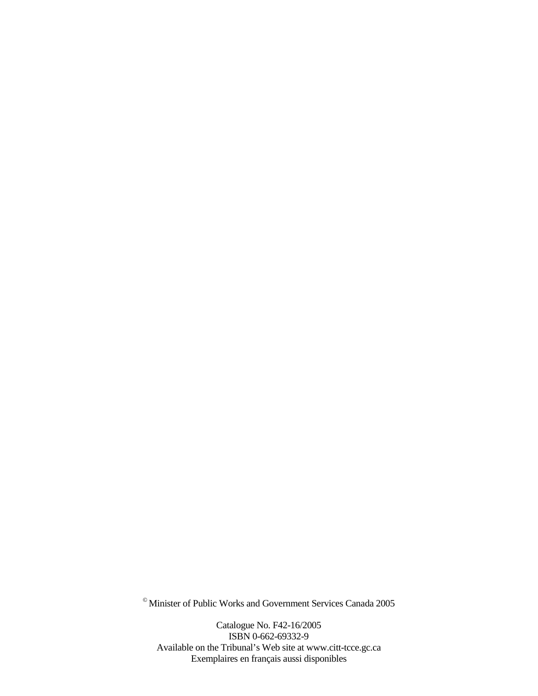© Minister of Public Works and Government Services Canada 2005

Catalogue No. F42-16/2005 ISBN 0-662-69332-9 Available on the Tribunal's Web site at www.citt-tcce.gc.ca Exemplaires en français aussi disponibles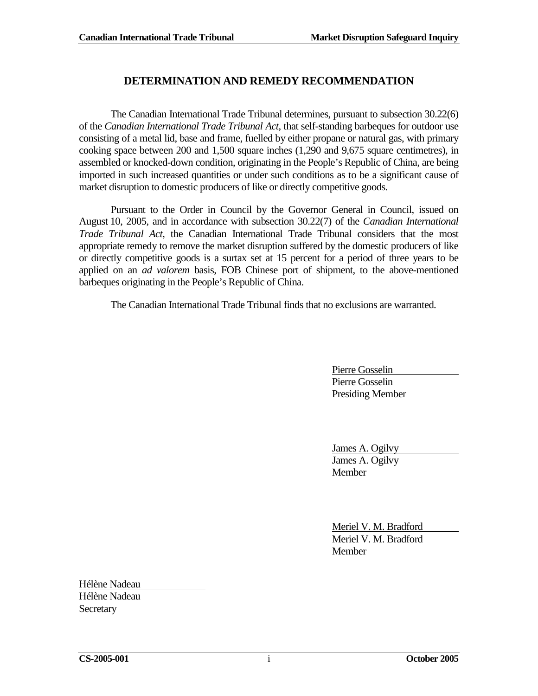## **DETERMINATION AND REMEDY RECOMMENDATION**

The Canadian International Trade Tribunal determines, pursuant to subsection 30.22(6) of the *Canadian International Trade Tribunal Act*, that self-standing barbeques for outdoor use consisting of a metal lid, base and frame, fuelled by either propane or natural gas, with primary cooking space between 200 and 1,500 square inches (1,290 and 9,675 square centimetres), in assembled or knocked-down condition, originating in the People's Republic of China, are being imported in such increased quantities or under such conditions as to be a significant cause of market disruption to domestic producers of like or directly competitive goods.

Pursuant to the Order in Council by the Governor General in Council, issued on August 10, 2005, and in accordance with subsection 30.22(7) of the *Canadian International Trade Tribunal Act*, the Canadian International Trade Tribunal considers that the most appropriate remedy to remove the market disruption suffered by the domestic producers of like or directly competitive goods is a surtax set at 15 percent for a period of three years to be applied on an *ad valorem* basis, FOB Chinese port of shipment, to the above-mentioned barbeques originating in the People's Republic of China.

The Canadian International Trade Tribunal finds that no exclusions are warranted.

Pierre Gosselin Pierre Gosselin Presiding Member

James A. Ogilvy James A. Ogilvy Member

Meriel V. M. Bradford Meriel V. M. Bradford Member

Hélène Nadeau Hélène Nadeau **Secretary**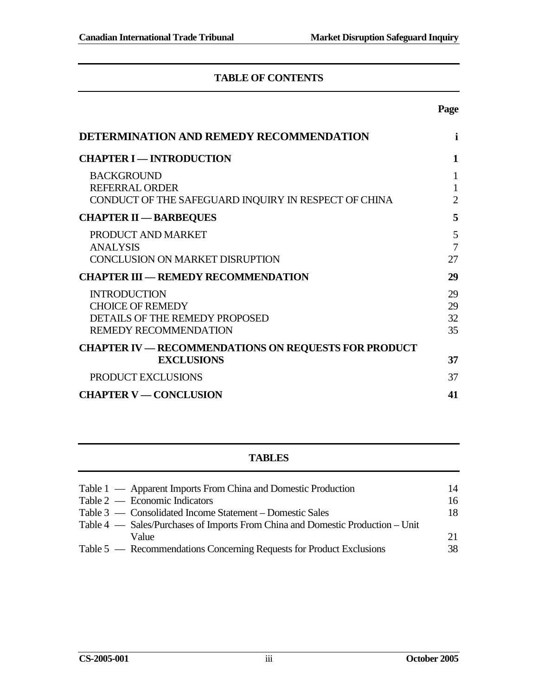# **TABLE OF CONTENTS**

## **Page**

| DETERMINATION AND REMEDY RECOMMENDATION                                                                          | i                                   |
|------------------------------------------------------------------------------------------------------------------|-------------------------------------|
| <b>CHAPTER I - INTRODUCTION</b>                                                                                  | 1                                   |
| <b>BACKGROUND</b><br><b>REFERRAL ORDER</b><br>CONDUCT OF THE SAFEGUARD INQUIRY IN RESPECT OF CHINA               | 1<br>$\mathbf{1}$<br>$\overline{2}$ |
| <b>CHAPTER II - BARBEQUES</b>                                                                                    | 5                                   |
| PRODUCT AND MARKET<br><b>ANALYSIS</b><br>CONCLUSION ON MARKET DISRUPTION                                         | 5<br>$\overline{7}$<br>27           |
| <b>CHAPTER III — REMEDY RECOMMENDATION</b>                                                                       | 29                                  |
| <b>INTRODUCTION</b><br><b>CHOICE OF REMEDY</b><br>DETAILS OF THE REMEDY PROPOSED<br><b>REMEDY RECOMMENDATION</b> | 29<br>29<br>32<br>35                |
| <b>CHAPTER IV — RECOMMENDATIONS ON REQUESTS FOR PRODUCT</b><br><b>EXCLUSIONS</b>                                 | 37                                  |
| PRODUCT EXCLUSIONS                                                                                               | 37                                  |
| <b>CHAPTER V — CONCLUSION</b>                                                                                    | 41                                  |

# **TABLES**

| Table 1 — Apparent Imports From China and Domestic Production                  | 14  |
|--------------------------------------------------------------------------------|-----|
| Table $2$ — Economic Indicators                                                | 16  |
| Table 3 — Consolidated Income Statement – Domestic Sales                       | 18. |
| Table 4 — Sales/Purchases of Imports From China and Domestic Production – Unit |     |
| Value                                                                          | 21  |
| Table 5 — Recommendations Concerning Requests for Product Exclusions           | 38. |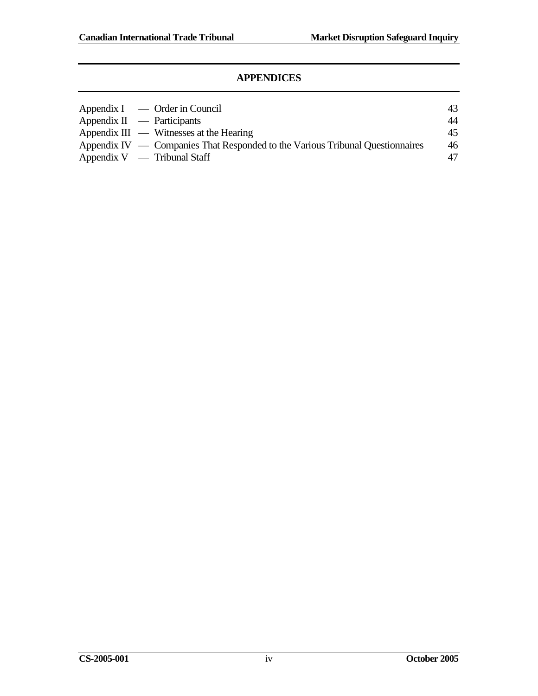## **APPENDICES**

| $Appendix I \quad - Order in Council$                                         | 43 |
|-------------------------------------------------------------------------------|----|
| Appendix $II$ — Participants                                                  | 44 |
| Appendix $III \sim$ Witnesses at the Hearing                                  | 45 |
| Appendix IV — Companies That Responded to the Various Tribunal Questionnaires | 46 |
| Appendix $V -$ Tribunal Staff                                                 | 47 |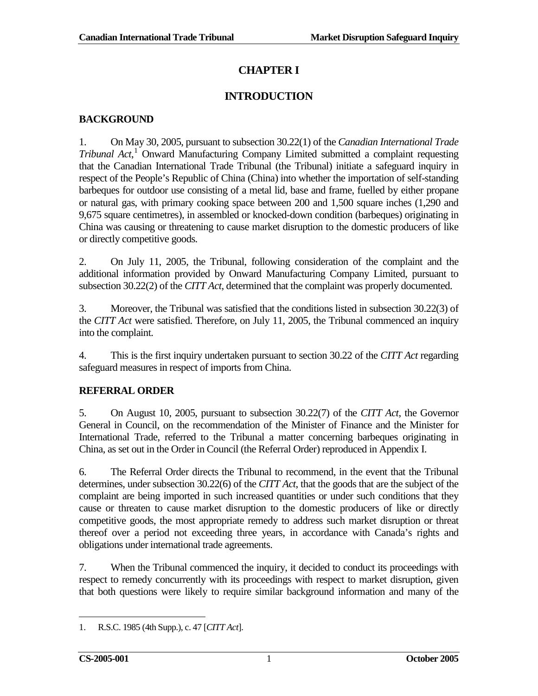# **CHAPTER I**

# **INTRODUCTION**

## <span id="page-6-1"></span><span id="page-6-0"></span>**BACKGROUND**

1. On May 30, 2005, pursuant to subsection 30.22(1) of the *Canadian International Trade Tribunal Act*, [1](#page-6-3) Onward Manufacturing Company Limited submitted a complaint requesting that the Canadian International Trade Tribunal (the Tribunal) initiate a safeguard inquiry in respect of the People's Republic of China (China) into whether the importation of self-standing barbeques for outdoor use consisting of a metal lid, base and frame, fuelled by either propane or natural gas, with primary cooking space between 200 and 1,500 square inches (1,290 and 9,675 square centimetres), in assembled or knocked-down condition (barbeques) originating in China was causing or threatening to cause market disruption to the domestic producers of like or directly competitive goods.

2. On July 11, 2005, the Tribunal, following consideration of the complaint and the additional information provided by Onward Manufacturing Company Limited, pursuant to subsection 30.22(2) of the *CITT Act*, determined that the complaint was properly documented.

3. Moreover, the Tribunal was satisfied that the conditions listed in subsection 30.22(3) of the *CITT Act* were satisfied. Therefore, on July 11, 2005, the Tribunal commenced an inquiry into the complaint.

4. This is the first inquiry undertaken pursuant to section 30.22 of the *CITT Act* regarding safeguard measures in respect of imports from China.

# <span id="page-6-2"></span>**REFERRAL ORDER**

5. On August 10, 2005, pursuant to subsection 30.22(7) of the *CITT Act*, the Governor General in Council, on the recommendation of the Minister of Finance and the Minister for International Trade, referred to the Tribunal a matter concerning barbeques originating in China, as set out in the Order in Council (the Referral Order) reproduced in Appendix I.

6. The Referral Order directs the Tribunal to recommend, in the event that the Tribunal determines, under subsection 30.22(6) of the *CITT Act*, that the goods that are the subject of the complaint are being imported in such increased quantities or under such conditions that they cause or threaten to cause market disruption to the domestic producers of like or directly competitive goods, the most appropriate remedy to address such market disruption or threat thereof over a period not exceeding three years, in accordance with Canada's rights and obligations under international trade agreements.

7. When the Tribunal commenced the inquiry, it decided to conduct its proceedings with respect to remedy concurrently with its proceedings with respect to market disruption, given that both questions were likely to require similar background information and many of the

<span id="page-6-3"></span><sup>1.</sup> R.S.C. 1985 (4th Supp.), c. 47 [*CITT Act*].  $\overline{a}$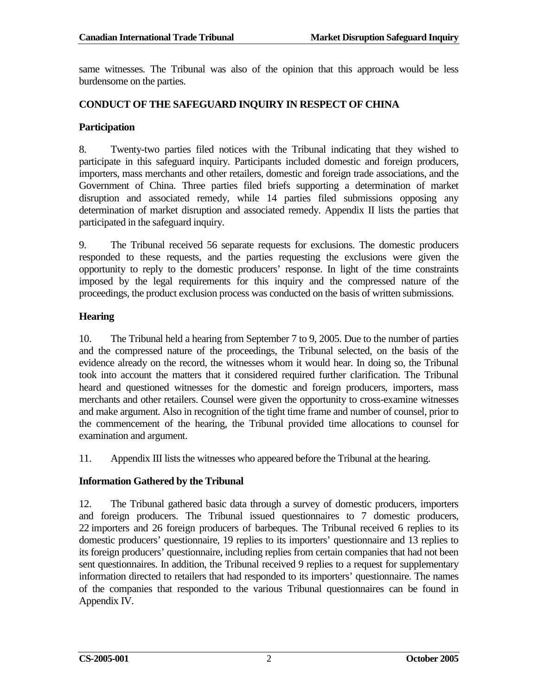same witnesses. The Tribunal was also of the opinion that this approach would be less burdensome on the parties.

## <span id="page-7-0"></span>**CONDUCT OF THE SAFEGUARD INQUIRY IN RESPECT OF CHINA**

#### **Participation**

8. Twenty-two parties filed notices with the Tribunal indicating that they wished to participate in this safeguard inquiry. Participants included domestic and foreign producers, importers, mass merchants and other retailers, domestic and foreign trade associations, and the Government of China. Three parties filed briefs supporting a determination of market disruption and associated remedy, while 14 parties filed submissions opposing any determination of market disruption and associated remedy. Appendix II lists the parties that participated in the safeguard inquiry.

9. The Tribunal received 56 separate requests for exclusions. The domestic producers responded to these requests, and the parties requesting the exclusions were given the opportunity to reply to the domestic producers' response. In light of the time constraints imposed by the legal requirements for this inquiry and the compressed nature of the proceedings, the product exclusion process was conducted on the basis of written submissions.

### **Hearing**

10. The Tribunal held a hearing from September 7 to 9, 2005. Due to the number of parties and the compressed nature of the proceedings, the Tribunal selected, on the basis of the evidence already on the record, the witnesses whom it would hear. In doing so, the Tribunal took into account the matters that it considered required further clarification. The Tribunal heard and questioned witnesses for the domestic and foreign producers, importers, mass merchants and other retailers. Counsel were given the opportunity to cross-examine witnesses and make argument. Also in recognition of the tight time frame and number of counsel, prior to the commencement of the hearing, the Tribunal provided time allocations to counsel for examination and argument.

11. Appendix III lists the witnesses who appeared before the Tribunal at the hearing.

### **Information Gathered by the Tribunal**

12. The Tribunal gathered basic data through a survey of domestic producers, importers and foreign producers. The Tribunal issued questionnaires to 7 domestic producers, 22 importers and 26 foreign producers of barbeques. The Tribunal received 6 replies to its domestic producers' questionnaire, 19 replies to its importers' questionnaire and 13 replies to its foreign producers' questionnaire, including replies from certain companies that had not been sent questionnaires. In addition, the Tribunal received 9 replies to a request for supplementary information directed to retailers that had responded to its importers' questionnaire. The names of the companies that responded to the various Tribunal questionnaires can be found in Appendix IV.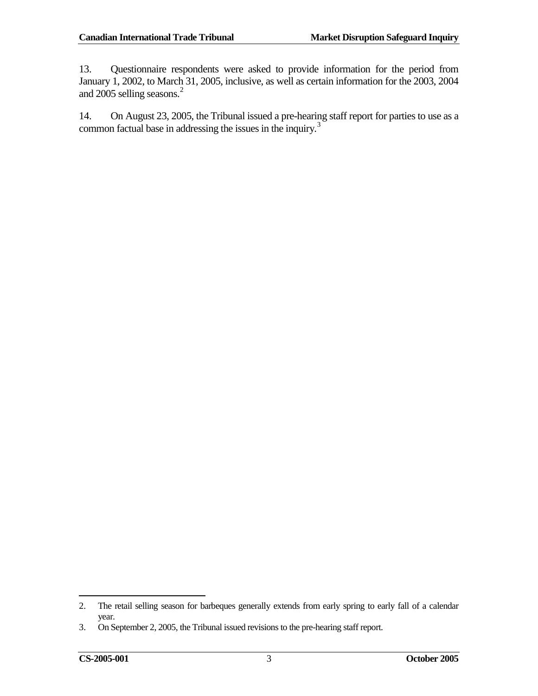13. Questionnaire respondents were asked to provide information for the period from January 1, 2002, to March 31, 2005, inclusive, as well as certain information for the 2003, 2004 and [2](#page-8-0)005 selling seasons.<sup>2</sup>

14. On August 23, 2005, the Tribunal issued a pre-hearing staff report for parties to use as a common factual base in addressing the issues in the inquiry.<sup>[3](#page-8-1)</sup>

<span id="page-8-0"></span><sup>2.</sup> The retail selling season for barbeques generally extends from early spring to early fall of a calendar year.  $\overline{a}$ 

<span id="page-8-1"></span><sup>3.</sup> On September 2, 2005, the Tribunal issued revisions to the pre-hearing staff report.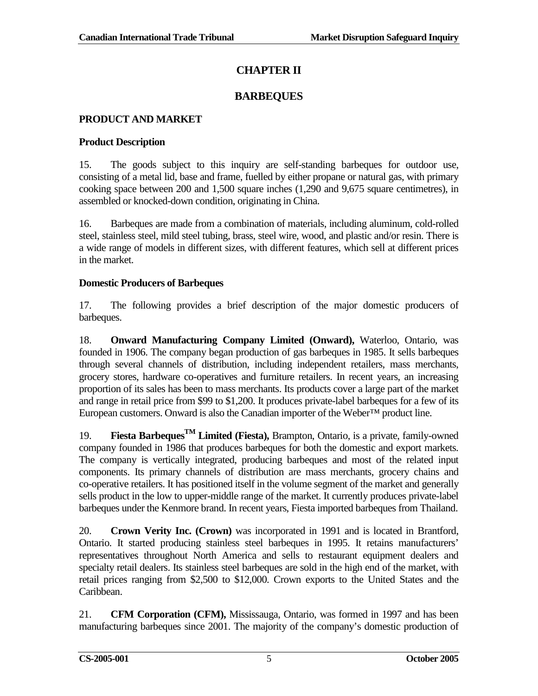# **CHAPTER II**

# **BARBEQUES**

# <span id="page-10-1"></span><span id="page-10-0"></span>**PRODUCT AND MARKET**

## **Product Description**

15. The goods subject to this inquiry are self-standing barbeques for outdoor use, consisting of a metal lid, base and frame, fuelled by either propane or natural gas, with primary cooking space between 200 and 1,500 square inches (1,290 and 9,675 square centimetres), in assembled or knocked-down condition, originating in China.

16. Barbeques are made from a combination of materials, including aluminum, cold-rolled steel, stainless steel, mild steel tubing, brass, steel wire, wood, and plastic and/or resin. There is a wide range of models in different sizes, with different features, which sell at different prices in the market.

## **Domestic Producers of Barbeques**

17. The following provides a brief description of the major domestic producers of barbeques.

18. **Onward Manufacturing Company Limited (Onward),** Waterloo, Ontario, was founded in 1906. The company began production of gas barbeques in 1985. It sells barbeques through several channels of distribution, including independent retailers, mass merchants, grocery stores, hardware co-operatives and furniture retailers. In recent years, an increasing proportion of its sales has been to mass merchants. Its products cover a large part of the market and range in retail price from \$99 to \$1,200. It produces private-label barbeques for a few of its European customers. Onward is also the Canadian importer of the Weber™ product line.

19. **Fiesta BarbequesTM Limited (Fiesta),** Brampton, Ontario, is a private, family-owned company founded in 1986 that produces barbeques for both the domestic and export markets. The company is vertically integrated, producing barbeques and most of the related input components. Its primary channels of distribution are mass merchants, grocery chains and co-operative retailers. It has positioned itself in the volume segment of the market and generally sells product in the low to upper-middle range of the market. It currently produces private-label barbeques under the Kenmore brand. In recent years, Fiesta imported barbeques from Thailand.

20. **Crown Verity Inc. (Crown)** was incorporated in 1991 and is located in Brantford, Ontario. It started producing stainless steel barbeques in 1995. It retains manufacturers' representatives throughout North America and sells to restaurant equipment dealers and specialty retail dealers. Its stainless steel barbeques are sold in the high end of the market, with retail prices ranging from \$2,500 to \$12,000. Crown exports to the United States and the Caribbean.

21. **CFM Corporation (CFM),** Mississauga, Ontario, was formed in 1997 and has been manufacturing barbeques since 2001. The majority of the company's domestic production of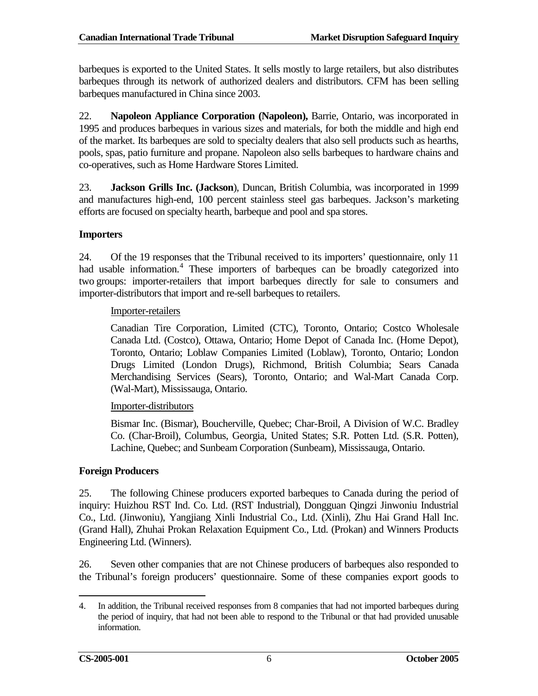barbeques is exported to the United States. It sells mostly to large retailers, but also distributes barbeques through its network of authorized dealers and distributors. CFM has been selling barbeques manufactured in China since 2003.

22. **Napoleon Appliance Corporation (Napoleon),** Barrie, Ontario, was incorporated in 1995 and produces barbeques in various sizes and materials, for both the middle and high end of the market. Its barbeques are sold to specialty dealers that also sell products such as hearths, pools, spas, patio furniture and propane. Napoleon also sells barbeques to hardware chains and co-operatives, such as Home Hardware Stores Limited.

23. **Jackson Grills Inc. (Jackson**), Duncan, British Columbia, was incorporated in 1999 and manufactures high-end, 100 percent stainless steel gas barbeques. Jackson's marketing efforts are focused on specialty hearth, barbeque and pool and spa stores.

### **Importers**

24. Of the 19 responses that the Tribunal received to its importers' questionnaire, only 11 had usable information.<sup>[4](#page-11-0)</sup> These importers of barbeques can be broadly categorized into two groups: importer-retailers that import barbeques directly for sale to consumers and importer-distributors that import and re-sell barbeques to retailers.

#### Importer-retailers

Canadian Tire Corporation, Limited (CTC), Toronto, Ontario; Costco Wholesale Canada Ltd. (Costco), Ottawa, Ontario; Home Depot of Canada Inc. (Home Depot), Toronto, Ontario; Loblaw Companies Limited (Loblaw), Toronto, Ontario; London Drugs Limited (London Drugs), Richmond, British Columbia; Sears Canada Merchandising Services (Sears), Toronto, Ontario; and Wal-Mart Canada Corp. (Wal-Mart), Mississauga, Ontario.

#### Importer-distributors

Bismar Inc. (Bismar), Boucherville, Quebec; Char-Broil, A Division of W.C. Bradley Co. (Char-Broil), Columbus, Georgia, United States; S.R. Potten Ltd. (S.R. Potten), Lachine, Quebec; and Sunbeam Corporation (Sunbeam), Mississauga, Ontario.

### **Foreign Producers**

25. The following Chinese producers exported barbeques to Canada during the period of inquiry: Huizhou RST Ind. Co. Ltd. (RST Industrial), Dongguan Qingzi Jinwoniu Industrial Co., Ltd. (Jinwoniu), Yangjiang Xinli Industrial Co., Ltd. (Xinli), Zhu Hai Grand Hall Inc. (Grand Hall), Zhuhai Prokan Relaxation Equipment Co., Ltd. (Prokan) and Winners Products Engineering Ltd. (Winners).

26. Seven other companies that are not Chinese producers of barbeques also responded to the Tribunal's foreign producers' questionnaire. Some of these companies export goods to

<span id="page-11-0"></span><sup>4.</sup> In addition, the Tribunal received responses from 8 companies that had not imported barbeques during the period of inquiry, that had not been able to respond to the Tribunal or that had provided unusable information.  $\overline{a}$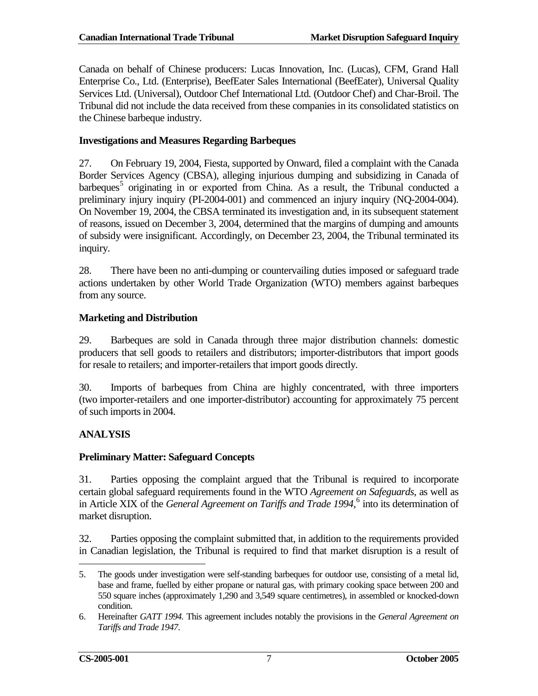Canada on behalf of Chinese producers: Lucas Innovation, Inc. (Lucas), CFM, Grand Hall Enterprise Co., Ltd. (Enterprise), BeefEater Sales International (BeefEater), Universal Quality Services Ltd. (Universal), Outdoor Chef International Ltd. (Outdoor Chef) and Char-Broil. The Tribunal did not include the data received from these companies in its consolidated statistics on the Chinese barbeque industry.

#### **Investigations and Measures Regarding Barbeques**

27. On February 19, 2004, Fiesta, supported by Onward, filed a complaint with the Canada Border Services Agency (CBSA), alleging injurious dumping and subsidizing in Canada of barbeques<sup>[5](#page-12-1)</sup> originating in or exported from China. As a result, the Tribunal conducted a preliminary injury inquiry (PI-2004-001) and commenced an injury inquiry (NQ-2004-004). On November 19, 2004, the CBSA terminated its investigation and, in its subsequent statement of reasons, issued on December 3, 2004, determined that the margins of dumping and amounts of subsidy were insignificant. Accordingly, on December 23, 2004, the Tribunal terminated its inquiry.

28. There have been no anti-dumping or countervailing duties imposed or safeguard trade actions undertaken by other World Trade Organization (WTO) members against barbeques from any source.

### **Marketing and Distribution**

29. Barbeques are sold in Canada through three major distribution channels: domestic producers that sell goods to retailers and distributors; importer-distributors that import goods for resale to retailers; and importer-retailers that import goods directly.

30. Imports of barbeques from China are highly concentrated, with three importers (two importer-retailers and one importer-distributor) accounting for approximately 75 percent of such imports in 2004.

### <span id="page-12-0"></span>**ANALYSIS**

### **Preliminary Matter: Safeguard Concepts**

31. Parties opposing the complaint argued that the Tribunal is required to incorporate certain global safeguard requirements found in the WTO *Agreement on Safeguards*, as well as in Article XIX of the *General Agreement on Tariffs and Trade 1994*, [6](#page-12-2) into its determination of market disruption.

32. Parties opposing the complaint submitted that, in addition to the requirements provided in Canadian legislation, the Tribunal is required to find that market disruption is a result of

 $\overline{a}$ 

<span id="page-12-1"></span><sup>5.</sup> The goods under investigation were self-standing barbeques for outdoor use, consisting of a metal lid, base and frame, fuelled by either propane or natural gas, with primary cooking space between 200 and 550 square inches (approximately 1,290 and 3,549 square centimetres), in assembled or knocked-down condition.

<span id="page-12-2"></span><sup>6.</sup> Hereinafter *GATT 1994.* This agreement includes notably the provisions in the *General Agreement on Tariffs and Trade 1947*.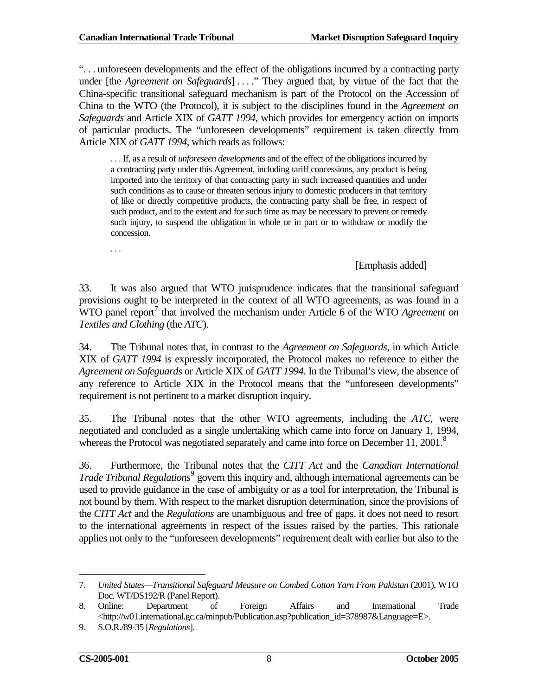". . . unforeseen developments and the effect of the obligations incurred by a contracting party under [the *Agreement on Safeguards*] . . . ." They argued that, by virtue of the fact that the China-specific transitional safeguard mechanism is part of the Protocol on the Accession of China to the WTO (the Protocol), it is subject to the disciplines found in the *Agreement on Safeguards* and Article XIX of *GATT 1994*, which provides for emergency action on imports of particular products. The "unforeseen developments" requirement is taken directly from Article XIX of *GATT 1994*, which reads as follows:

. . . If, as a result of *unforeseen developments* and of the effect of the obligations incurred by a contracting party under this Agreement, including tariff concessions, any product is being imported into the territory of that contracting party in such increased quantities and under such conditions as to cause or threaten serious injury to domestic producers in that territory of like or directly competitive products, the contracting party shall be free, in respect of such product, and to the extent and for such time as may be necessary to prevent or remedy such injury, to suspend the obligation in whole or in part or to withdraw or modify the concession.

. . .

[Emphasis added]

33. It was also argued that WTO jurisprudence indicates that the transitional safeguard provisions ought to be interpreted in the context of all WTO agreements, as was found in a WTO panel report<sup>[7](#page-13-0)</sup> that involved the mechanism under Article 6 of the WTO *Agreement on Textiles and Clothing* (the *ATC*).

34. The Tribunal notes that, in contrast to the *Agreement on Safeguards*, in which Article XIX of *GATT 1994* is expressly incorporated, the Protocol makes no reference to either the *Agreement on Safeguards* or Article XIX of *GATT 1994*. In the Tribunal's view, the absence of any reference to Article XIX in the Protocol means that the "unforeseen developments" requirement is not pertinent to a market disruption inquiry.

35. The Tribunal notes that the other WTO agreements, including the *ATC*, were negotiated and concluded as a single undertaking which came into force on January 1, 1994, whereas the Protocol was negotiated separately and came into force on December 11, 2001.<sup>[8](#page-13-1)</sup>

36. Furthermore, the Tribunal notes that the *CITT Act* and the *Canadian International Trade Tribunal Regulations*<sup>[9](#page-13-2)</sup> govern this inquiry and, although international agreements can be used to provide guidance in the case of ambiguity or as a tool for interpretation, the Tribunal is not bound by them. With respect to the market disruption determination, since the provisions of the *CITT Act* and the *Regulations* are unambiguous and free of gaps, it does not need to resort to the international agreements in respect of the issues raised by the parties. This rationale applies not only to the "unforeseen developments" requirement dealt with earlier but also to the

 $\overline{a}$ 

<span id="page-13-0"></span><sup>7.</sup> *United States—Transitional Safeguard Measure on Combed Cotton Yarn From Pakistan* (2001), WTO Doc. WT/DS192/R (Panel Report).

<span id="page-13-1"></span><sup>8.</sup> Online: Department of Foreign Affairs and International Trade <http://w01.international.gc.ca/minpub/Publication.asp?publication\_id=378987&Language=E>.

<span id="page-13-2"></span><sup>9.</sup> S.O.R./89-35 [*Regulations*].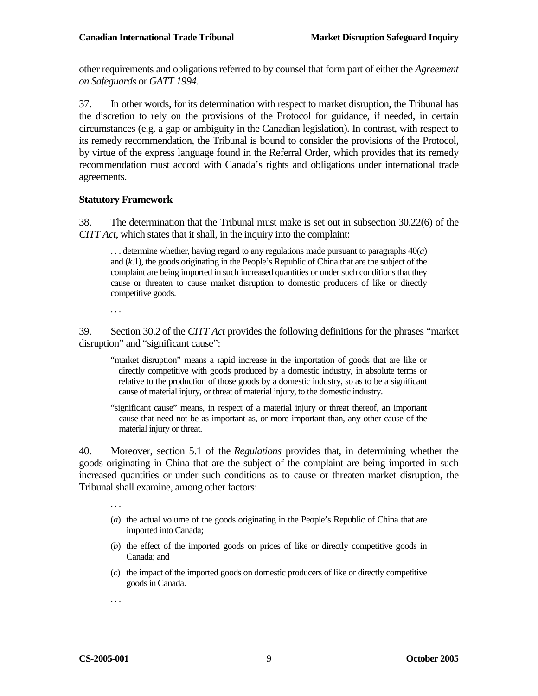other requirements and obligations referred to by counsel that form part of either the *Agreement on Safeguards* or *GATT 1994*.

37. In other words, for its determination with respect to market disruption, the Tribunal has the discretion to rely on the provisions of the Protocol for guidance, if needed, in certain circumstances (e.g. a gap or ambiguity in the Canadian legislation). In contrast, with respect to its remedy recommendation, the Tribunal is bound to consider the provisions of the Protocol, by virtue of the express language found in the Referral Order, which provides that its remedy recommendation must accord with Canada's rights and obligations under international trade agreements.

#### **Statutory Framework**

38. The determination that the Tribunal must make is set out in subsection 30.22(6) of the *CITT Act*, which states that it shall, in the inquiry into the complaint:

. . . determine whether, having regard to any regulations made pursuant to paragraphs 40(*a*) and (*k*.1), the goods originating in the People's Republic of China that are the subject of the complaint are being imported in such increased quantities or under such conditions that they cause or threaten to cause market disruption to domestic producers of like or directly competitive goods.

. . .

39. Section 30.2 of the *CITT Act* provides the following definitions for the phrases "market disruption" and "significant cause":

"market disruption" means a rapid increase in the importation of goods that are like or directly competitive with goods produced by a domestic industry, in absolute terms or relative to the production of those goods by a domestic industry, so as to be a significant cause of material injury, or threat of material injury, to the domestic industry.

"significant cause" means, in respect of a material injury or threat thereof, an important cause that need not be as important as, or more important than, any other cause of the material injury or threat.

40. Moreover, section 5.1 of the *Regulations* provides that, in determining whether the goods originating in China that are the subject of the complaint are being imported in such increased quantities or under such conditions as to cause or threaten market disruption, the Tribunal shall examine, among other factors:

. . .

- (*a*) the actual volume of the goods originating in the People's Republic of China that are imported into Canada;
- (*b*) the effect of the imported goods on prices of like or directly competitive goods in Canada; and
- (*c*) the impact of the imported goods on domestic producers of like or directly competitive goods in Canada.
- . . .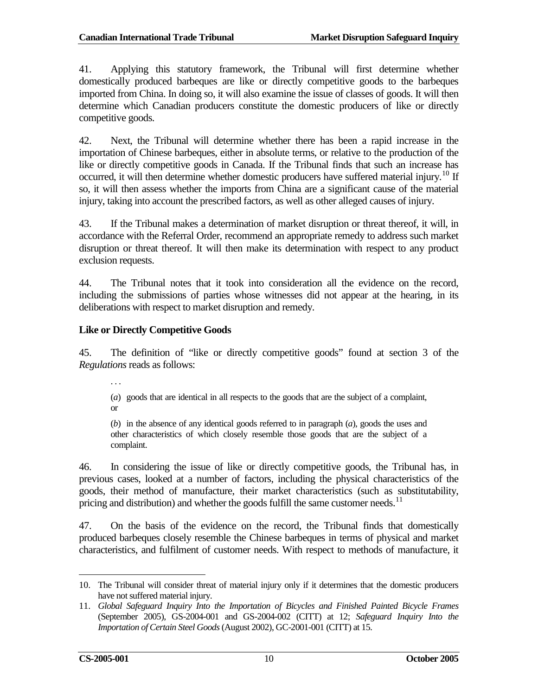41. Applying this statutory framework, the Tribunal will first determine whether domestically produced barbeques are like or directly competitive goods to the barbeques imported from China. In doing so, it will also examine the issue of classes of goods. It will then determine which Canadian producers constitute the domestic producers of like or directly competitive goods.

42. Next, the Tribunal will determine whether there has been a rapid increase in the importation of Chinese barbeques, either in absolute terms, or relative to the production of the like or directly competitive goods in Canada. If the Tribunal finds that such an increase has occurred, it will then determine whether domestic producers have suffered material injury.<sup>[10](#page-15-0)</sup> If so, it will then assess whether the imports from China are a significant cause of the material injury, taking into account the prescribed factors, as well as other alleged causes of injury.

43. If the Tribunal makes a determination of market disruption or threat thereof, it will, in accordance with the Referral Order, recommend an appropriate remedy to address such market disruption or threat thereof. It will then make its determination with respect to any product exclusion requests.

44. The Tribunal notes that it took into consideration all the evidence on the record, including the submissions of parties whose witnesses did not appear at the hearing, in its deliberations with respect to market disruption and remedy.

## **Like or Directly Competitive Goods**

45. The definition of "like or directly competitive goods" found at section 3 of the *Regulations* reads as follows:

. . .

(*a*) goods that are identical in all respects to the goods that are the subject of a complaint, or

(*b*) in the absence of any identical goods referred to in paragraph (*a*), goods the uses and other characteristics of which closely resemble those goods that are the subject of a complaint.

46. In considering the issue of like or directly competitive goods, the Tribunal has, in previous cases, looked at a number of factors, including the physical characteristics of the goods, their method of manufacture, their market characteristics (such as substitutability, pricing and distribution) and whether the goods fulfill the same customer needs. $11$ 

47. On the basis of the evidence on the record, the Tribunal finds that domestically produced barbeques closely resemble the Chinese barbeques in terms of physical and market characteristics, and fulfilment of customer needs. With respect to methods of manufacture, it

<span id="page-15-0"></span><sup>10.</sup> The Tribunal will consider threat of material injury only if it determines that the domestic producers have not suffered material injury.  $\overline{a}$ 

<span id="page-15-1"></span><sup>11.</sup> *Global Safeguard Inquiry Into the Importation of Bicycles and Finished Painted Bicycle Frames* (September 2005), GS-2004-001 and GS-2004-002 (CITT) at 12; *Safeguard Inquiry Into the Importation of Certain Steel Goods* (August 2002), GC-2001-001 (CITT) at 15.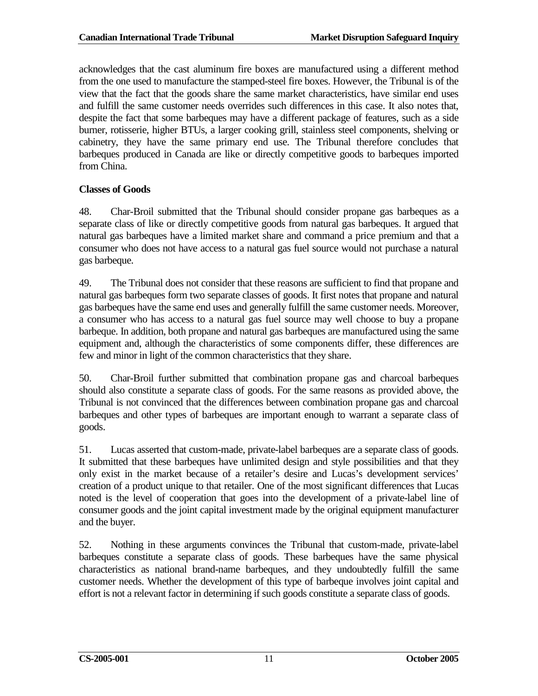acknowledges that the cast aluminum fire boxes are manufactured using a different method from the one used to manufacture the stamped-steel fire boxes. However, the Tribunal is of the view that the fact that the goods share the same market characteristics, have similar end uses and fulfill the same customer needs overrides such differences in this case. It also notes that, despite the fact that some barbeques may have a different package of features, such as a side burner, rotisserie, higher BTUs, a larger cooking grill, stainless steel components, shelving or cabinetry, they have the same primary end use. The Tribunal therefore concludes that barbeques produced in Canada are like or directly competitive goods to barbeques imported from China.

## **Classes of Goods**

48. Char-Broil submitted that the Tribunal should consider propane gas barbeques as a separate class of like or directly competitive goods from natural gas barbeques. It argued that natural gas barbeques have a limited market share and command a price premium and that a consumer who does not have access to a natural gas fuel source would not purchase a natural gas barbeque.

49. The Tribunal does not consider that these reasons are sufficient to find that propane and natural gas barbeques form two separate classes of goods. It first notes that propane and natural gas barbeques have the same end uses and generally fulfill the same customer needs. Moreover, a consumer who has access to a natural gas fuel source may well choose to buy a propane barbeque. In addition, both propane and natural gas barbeques are manufactured using the same equipment and, although the characteristics of some components differ, these differences are few and minor in light of the common characteristics that they share.

50. Char-Broil further submitted that combination propane gas and charcoal barbeques should also constitute a separate class of goods. For the same reasons as provided above, the Tribunal is not convinced that the differences between combination propane gas and charcoal barbeques and other types of barbeques are important enough to warrant a separate class of goods.

51. Lucas asserted that custom-made, private-label barbeques are a separate class of goods. It submitted that these barbeques have unlimited design and style possibilities and that they only exist in the market because of a retailer's desire and Lucas's development services' creation of a product unique to that retailer. One of the most significant differences that Lucas noted is the level of cooperation that goes into the development of a private-label line of consumer goods and the joint capital investment made by the original equipment manufacturer and the buyer.

52. Nothing in these arguments convinces the Tribunal that custom-made, private-label barbeques constitute a separate class of goods. These barbeques have the same physical characteristics as national brand-name barbeques, and they undoubtedly fulfill the same customer needs. Whether the development of this type of barbeque involves joint capital and effort is not a relevant factor in determining if such goods constitute a separate class of goods.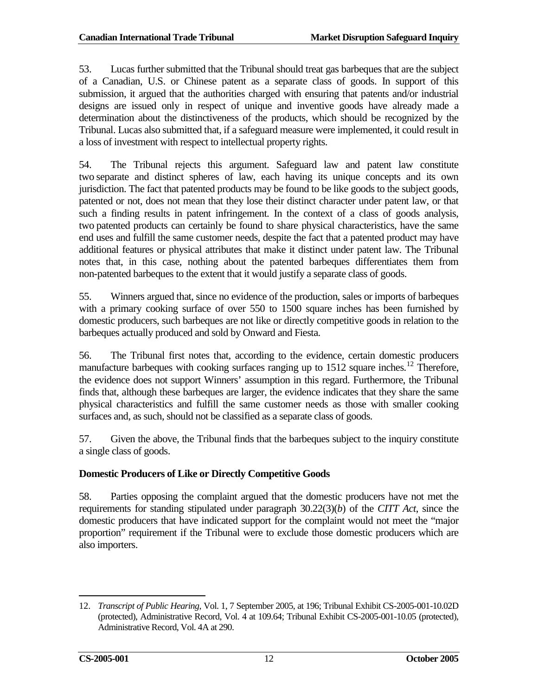53. Lucas further submitted that the Tribunal should treat gas barbeques that are the subject of a Canadian, U.S. or Chinese patent as a separate class of goods. In support of this submission, it argued that the authorities charged with ensuring that patents and/or industrial designs are issued only in respect of unique and inventive goods have already made a determination about the distinctiveness of the products, which should be recognized by the Tribunal. Lucas also submitted that, if a safeguard measure were implemented, it could result in a loss of investment with respect to intellectual property rights.

54. The Tribunal rejects this argument. Safeguard law and patent law constitute two separate and distinct spheres of law, each having its unique concepts and its own jurisdiction. The fact that patented products may be found to be like goods to the subject goods, patented or not, does not mean that they lose their distinct character under patent law, or that such a finding results in patent infringement. In the context of a class of goods analysis, two patented products can certainly be found to share physical characteristics, have the same end uses and fulfill the same customer needs, despite the fact that a patented product may have additional features or physical attributes that make it distinct under patent law. The Tribunal notes that, in this case, nothing about the patented barbeques differentiates them from non-patented barbeques to the extent that it would justify a separate class of goods.

55. Winners argued that, since no evidence of the production, sales or imports of barbeques with a primary cooking surface of over 550 to 1500 square inches has been furnished by domestic producers, such barbeques are not like or directly competitive goods in relation to the barbeques actually produced and sold by Onward and Fiesta.

56. The Tribunal first notes that, according to the evidence, certain domestic producers manufacture barbeques with cooking surfaces ranging up to  $1512$  $1512$  square inches.<sup>12</sup> Therefore, the evidence does not support Winners' assumption in this regard. Furthermore, the Tribunal finds that, although these barbeques are larger, the evidence indicates that they share the same physical characteristics and fulfill the same customer needs as those with smaller cooking surfaces and, as such, should not be classified as a separate class of goods.

57. Given the above, the Tribunal finds that the barbeques subject to the inquiry constitute a single class of goods.

### **Domestic Producers of Like or Directly Competitive Goods**

58. Parties opposing the complaint argued that the domestic producers have not met the requirements for standing stipulated under paragraph 30.22(3)(*b*) of the *CITT Act*, since the domestic producers that have indicated support for the complaint would not meet the "major proportion" requirement if the Tribunal were to exclude those domestic producers which are also importers.

<span id="page-17-0"></span><sup>12.</sup> *Transcript of Public Hearing*, Vol. 1, 7 September 2005, at 196; Tribunal Exhibit CS-2005-001-10.02D (protected), Administrative Record, Vol. 4 at 109.64; Tribunal Exhibit CS-2005-001-10.05 (protected), Administrative Record, Vol. 4A at 290.  $\overline{a}$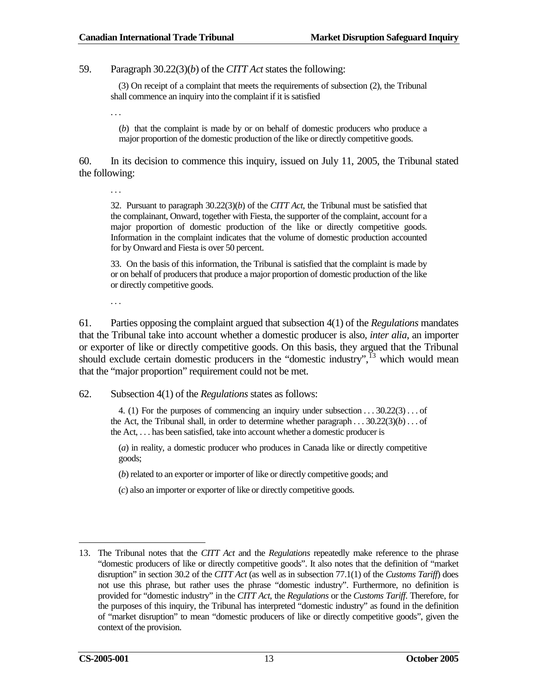59. Paragraph 30.22(3)(*b*) of the *CITT Act* states the following:

(3) On receipt of a complaint that meets the requirements of subsection (2), the Tribunal shall commence an inquiry into the complaint if it is satisfied

. . .

(*b*) that the complaint is made by or on behalf of domestic producers who produce a major proportion of the domestic production of the like or directly competitive goods.

60. In its decision to commence this inquiry, issued on July 11, 2005, the Tribunal stated the following:

. . .

32. Pursuant to paragraph 30.22(3)(*b*) of the *CITT Act*, the Tribunal must be satisfied that the complainant, Onward, together with Fiesta, the supporter of the complaint, account for a major proportion of domestic production of the like or directly competitive goods. Information in the complaint indicates that the volume of domestic production accounted for by Onward and Fiesta is over 50 percent.

33. On the basis of this information, the Tribunal is satisfied that the complaint is made by or on behalf of producers that produce a major proportion of domestic production of the like or directly competitive goods.

. . .

61. Parties opposing the complaint argued that subsection 4(1) of the *Regulations* mandates that the Tribunal take into account whether a domestic producer is also, *inter alia*, an importer or exporter of like or directly competitive goods. On this basis, they argued that the Tribunal should exclude certain domestic producers in the "domestic industry", $^{13}$  $^{13}$  $^{13}$  which would mean that the "major proportion" requirement could not be met.

#### 62. Subsection 4(1) of the *Regulations* states as follows:

4. (1) For the purposes of commencing an inquiry under subsection . . . 30.22(3) . . . of the Act, the Tribunal shall, in order to determine whether paragraph . . . 30.22(3)(*b*) . . . of the Act, . . . has been satisfied, take into account whether a domestic producer is

(*a*) in reality, a domestic producer who produces in Canada like or directly competitive goods;

(*b*) related to an exporter or importer of like or directly competitive goods; and

(*c*) also an importer or exporter of like or directly competitive goods.

 $\overline{a}$ 

<span id="page-18-0"></span><sup>13.</sup> The Tribunal notes that the *CITT Act* and the *Regulations* repeatedly make reference to the phrase "domestic producers of like or directly competitive goods". It also notes that the definition of "market disruption" in section 30.2 of the *CITT Act* (as well as in subsection 77.1(1) of the *Customs Tariff*) does not use this phrase, but rather uses the phrase "domestic industry". Furthermore, no definition is provided for "domestic industry" in the *CITT Act*, the *Regulations* or the *Customs Tariff*. Therefore, for the purposes of this inquiry, the Tribunal has interpreted "domestic industry" as found in the definition of "market disruption" to mean "domestic producers of like or directly competitive goods", given the context of the provision.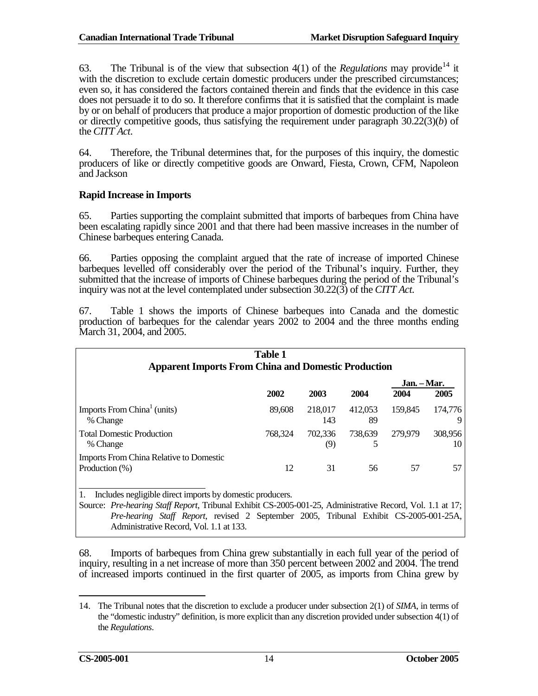63. The Tribunal is of the view that subsection  $4(1)$  of the *Regulations* may provide<sup>[14](#page-19-0)</sup> it with the discretion to exclude certain domestic producers under the prescribed circumstances; even so, it has considered the factors contained therein and finds that the evidence in this case does not persuade it to do so. It therefore confirms that it is satisfied that the complaint is made by or on behalf of producers that produce a major proportion of domestic production of the like or directly competitive goods, thus satisfying the requirement under paragraph 30.22(3)(*b*) of the *CITT Act*.

64. Therefore, the Tribunal determines that, for the purposes of this inquiry, the domestic producers of like or directly competitive goods are Onward, Fiesta, Crown, CFM, Napoleon and Jackson

#### **Rapid Increase in Imports**

65. Parties supporting the complaint submitted that imports of barbeques from China have been escalating rapidly since 2001 and that there had been massive increases in the number of Chinese barbeques entering Canada.

66. Parties opposing the complaint argued that the rate of increase of imported Chinese barbeques levelled off considerably over the period of the Tribunal's inquiry. Further, they submitted that the increase of imports of Chinese barbeques during the period of the Tribunal's inquiry was not at the level contemplated under subsection 30.22(3) of the *CITT Act*.

67. Table 1 shows the imports of Chinese barbeques into Canada and the domestic production of barbeques for the calendar years 2002 to 2004 and the three months ending March 31, 2004, and 2005.

| <b>Table 1</b>                                                      |         |                |               |                     |               |
|---------------------------------------------------------------------|---------|----------------|---------------|---------------------|---------------|
| <b>Apparent Imports From China and Domestic Production</b>          |         |                |               |                     |               |
|                                                                     | 2002    | 2003           | 2004          | Jan. – Mar.<br>2004 | 2005          |
| Imports From China <sup>1</sup> (units)<br>% Change                 | 89,608  | 218,017<br>143 | 412,053<br>89 | 159,845             | 174,776<br>9  |
| <b>Total Domestic Production</b><br>% Change                        | 768.324 | 702.336<br>(9) | 738.639<br>5  | 279,979             | 308,956<br>10 |
| <b>Imports From China Relative to Domestic</b><br>Production $(\%)$ | 12      | 31             | 56            | 57                  | 57            |

1. Includes negligible direct imports by domestic producers.

Source: *Pre-hearing Staff Report*, Tribunal Exhibit CS-2005-001-25, Administrative Record, Vol. 1.1 at 17; *Pre-hearing Staff Report*, revised 2 September 2005, Tribunal Exhibit CS-2005-001-25A, Administrative Record, Vol. 1.1 at 133.

68. Imports of barbeques from China grew substantially in each full year of the period of inquiry, resulting in a net increase of more than 350 percent between 2002 and 2004. The trend of increased imports continued in the first quarter of 2005, as imports from China grew by

 $\overline{a}$ 

<span id="page-19-0"></span><sup>14.</sup> The Tribunal notes that the discretion to exclude a producer under subsection 2(1) of *SIMA*, in terms of the "domestic industry" definition, is more explicit than any discretion provided under subsection 4(1) of the *Regulations*.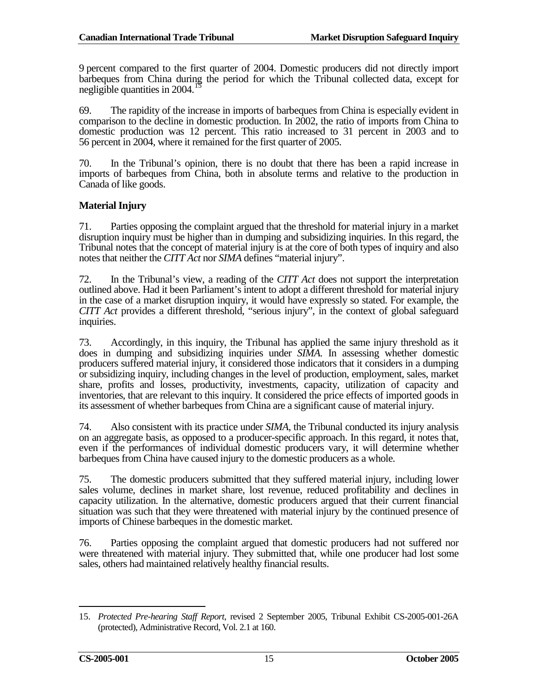9 percent compared to the first quarter of 2004. Domestic producers did not directly import barbeques from China during the period for which the Tribunal collected data, except for negligible quantities in 2004.

69. The rapidity of the increase in imports of barbeques from China is especially evident in comparison to the decline in domestic production. In 2002, the ratio of imports from China to domestic production was 12 percent. This ratio increased to 31 percent in 2003 and to 56 percent in 2004, where it remained for the first quarter of 2005.

70. In the Tribunal's opinion, there is no doubt that there has been a rapid increase in imports of barbeques from China, both in absolute terms and relative to the production in Canada of like goods.

#### **Material Injury**

71. Parties opposing the complaint argued that the threshold for material injury in a market disruption inquiry must be higher than in dumping and subsidizing inquiries. In this regard, the Tribunal notes that the concept of material injury is at the core of both types of inquiry and also notes that neither the *CITT Act* nor *SIMA* defines "material injury".

72. In the Tribunal's view, a reading of the *CITT Act* does not support the interpretation outlined above. Had it been Parliament's intent to adopt a different threshold for material injury in the case of a market disruption inquiry, it would have expressly so stated. For example, the *CITT Act* provides a different threshold, "serious injury", in the context of global safeguard inquiries.

73. Accordingly, in this inquiry, the Tribunal has applied the same injury threshold as it does in dumping and subsidizing inquiries under *SIMA*. In assessing whether domestic producers suffered material injury, it considered those indicators that it considers in a dumping or subsidizing inquiry, including changes in the level of production, employment, sales, market share, profits and losses, productivity, investments, capacity, utilization of capacity and inventories, that are relevant to this inquiry. It considered the price effects of imported goods in its assessment of whether barbeques from China are a significant cause of material injury.

74. Also consistent with its practice under *SIMA*, the Tribunal conducted its injury analysis on an aggregate basis, as opposed to a producer-specific approach. In this regard, it notes that, even if the performances of individual domestic producers vary, it will determine whether barbeques from China have caused injury to the domestic producers as a whole.

75. The domestic producers submitted that they suffered material injury, including lower sales volume, declines in market share, lost revenue, reduced profitability and declines in capacity utilization. In the alternative, domestic producers argued that their current financial situation was such that they were threatened with material injury by the continued presence of imports of Chinese barbeques in the domestic market.

76. Parties opposing the complaint argued that domestic producers had not suffered nor were threatened with material injury. They submitted that, while one producer had lost some sales, others had maintained relatively healthy financial results.

<span id="page-20-0"></span><sup>15.</sup> *Protected Pre-hearing Staff Report*, revised 2 September 2005, Tribunal Exhibit CS-2005-001-26A (protected), Administrative Record, Vol. 2.1 at 160.  $\overline{a}$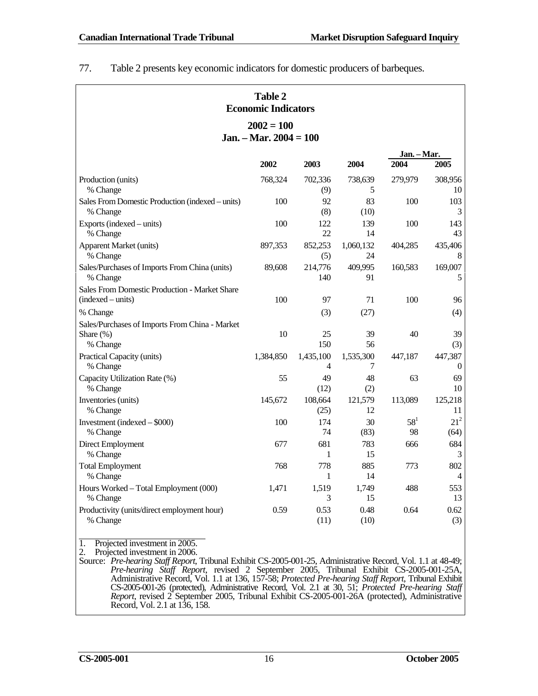| <b>Table 2</b><br><b>Economic Indicators</b>                            |           |                 |                 |                     |                             |  |  |
|-------------------------------------------------------------------------|-----------|-----------------|-----------------|---------------------|-----------------------------|--|--|
| $2002 = 100$<br>Jan. – Mar. $2004 = 100$                                |           |                 |                 |                     |                             |  |  |
|                                                                         | 2002      | 2003            | 2004            | Jan. – Mar.<br>2004 | 2005                        |  |  |
| Production (units)<br>% Change                                          | 768,324   | 702,336<br>(9)  | 738,639<br>5    | 279,979             | 308,956<br>10               |  |  |
| Sales From Domestic Production (indexed – units)<br>% Change            | 100       | 92<br>(8)       | 83<br>(10)      | 100                 | 103<br>3                    |  |  |
| Exports (indexed – units)<br>% Change                                   | 100       | 122<br>22       | 139<br>14       | 100                 | 143<br>43                   |  |  |
| <b>Apparent Market (units)</b><br>% Change                              | 897,353   | 852,253<br>(5)  | 1,060,132<br>24 | 404,285             | 435,406<br>$\,8\,$          |  |  |
| Sales/Purchases of Imports From China (units)<br>% Change               | 89,608    | 214,776<br>140  | 409,995<br>91   | 160,583             | 169,007<br>5                |  |  |
| Sales From Domestic Production - Market Share<br>(indexed – units)      | 100       | 97              | 71              | 100                 | 96                          |  |  |
| % Change                                                                |           | (3)             | (27)            |                     | (4)                         |  |  |
| Sales/Purchases of Imports From China - Market<br>Share (%)<br>% Change | 10        | 25<br>150       | 39<br>56        | 40                  | 39<br>(3)                   |  |  |
| Practical Capacity (units)<br>% Change                                  | 1,384,850 | 1,435,100<br>4  | 1,535,300<br>7  | 447,187             | 447,387<br>$\boldsymbol{0}$ |  |  |
| Capacity Utilization Rate (%)<br>% Change                               | 55        | 49<br>(12)      | 48<br>(2)       | 63                  | 69<br>10                    |  |  |
| Inventories (units)<br>% Change                                         | 145,672   | 108,664<br>(25) | 121,579<br>12   | 113,089             | 125,218<br>11               |  |  |
| Investment (indexed $-$ \$000)<br>% Change                              | 100       | 174<br>74       | 30<br>(83)      | $58^1$<br>98        | $21^2$<br>(64)              |  |  |
| Direct Employment<br>% Change                                           | 677       | 681<br>1        | 783<br>15       | 666                 | 684<br>3                    |  |  |
| <b>Total Employment</b><br>% Change                                     | 768       | 778<br>1        | 885<br>14       | 773                 | 802<br>4                    |  |  |
| Hours Worked - Total Employment (000)<br>% Change                       | 1,471     | 1,519<br>3      | 1,749<br>15     | 488                 | 553<br>13                   |  |  |
| Productivity (units/direct employment hour)<br>% Change                 | 0.59      | 0.53<br>(11)    | 0.48<br>(10)    | 0.64                | 0.62<br>(3)                 |  |  |

77. Table 2 presents key economic indicators for domestic producers of barbeques.

1. Projected investment in 2005.

2. Projected investment in 2006.

Source: *Pre-hearing Staff Report*, Tribunal Exhibit CS-2005-001-25, Administrative Record, Vol. 1.1 at 48-49; *Pre-hearing Staff Report*, revised 2 September 2005, Tribunal Exhibit CS-2005-001-25A, Administrative Record, Vol. 1.1 at 136, 157-58; *Protected Pre-hearing Staff Report*, Tribunal Exhibit CS-2005-001-26 (protected), Administrative Record, Vol. 2.1 at 30, 51; *Protected Pre-hearing Staff Report*, revised 2 September 2005, Tribunal Exhibit CS-2005-001-26A (protected), Administrative Record, Vol. 2.1 at 136, 158.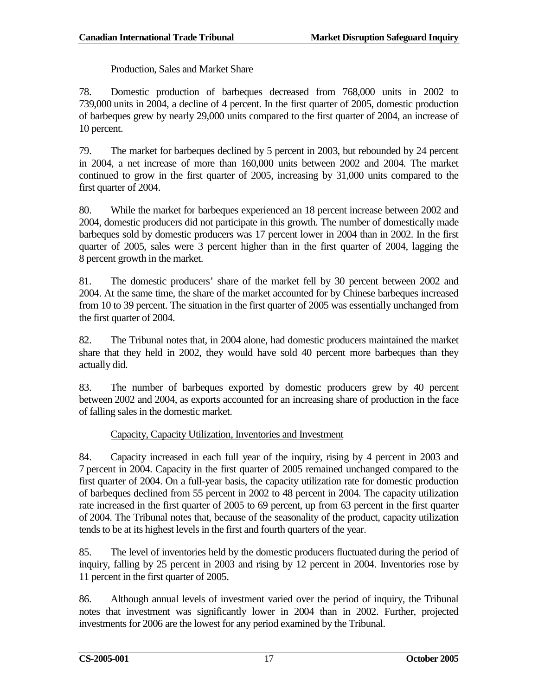### Production, Sales and Market Share

78. Domestic production of barbeques decreased from 768,000 units in 2002 to 739,000 units in 2004, a decline of 4 percent. In the first quarter of 2005, domestic production of barbeques grew by nearly 29,000 units compared to the first quarter of 2004, an increase of 10 percent.

79. The market for barbeques declined by 5 percent in 2003, but rebounded by 24 percent in 2004, a net increase of more than 160,000 units between 2002 and 2004. The market continued to grow in the first quarter of 2005, increasing by 31,000 units compared to the first quarter of 2004.

80. While the market for barbeques experienced an 18 percent increase between 2002 and 2004, domestic producers did not participate in this growth. The number of domestically made barbeques sold by domestic producers was 17 percent lower in 2004 than in 2002. In the first quarter of 2005, sales were 3 percent higher than in the first quarter of 2004, lagging the 8 percent growth in the market.

81. The domestic producers' share of the market fell by 30 percent between 2002 and 2004. At the same time, the share of the market accounted for by Chinese barbeques increased from 10 to 39 percent. The situation in the first quarter of 2005 was essentially unchanged from the first quarter of 2004.

82. The Tribunal notes that, in 2004 alone, had domestic producers maintained the market share that they held in 2002, they would have sold 40 percent more barbeques than they actually did.

83. The number of barbeques exported by domestic producers grew by 40 percent between 2002 and 2004, as exports accounted for an increasing share of production in the face of falling sales in the domestic market.

# Capacity, Capacity Utilization, Inventories and Investment

84. Capacity increased in each full year of the inquiry, rising by 4 percent in 2003 and 7 percent in 2004. Capacity in the first quarter of 2005 remained unchanged compared to the first quarter of 2004. On a full-year basis, the capacity utilization rate for domestic production of barbeques declined from 55 percent in 2002 to 48 percent in 2004. The capacity utilization rate increased in the first quarter of 2005 to 69 percent, up from 63 percent in the first quarter of 2004. The Tribunal notes that, because of the seasonality of the product, capacity utilization tends to be at its highest levels in the first and fourth quarters of the year.

85. The level of inventories held by the domestic producers fluctuated during the period of inquiry, falling by 25 percent in 2003 and rising by 12 percent in 2004. Inventories rose by 11 percent in the first quarter of 2005.

86. Although annual levels of investment varied over the period of inquiry, the Tribunal notes that investment was significantly lower in 2004 than in 2002. Further, projected investments for 2006 are the lowest for any period examined by the Tribunal.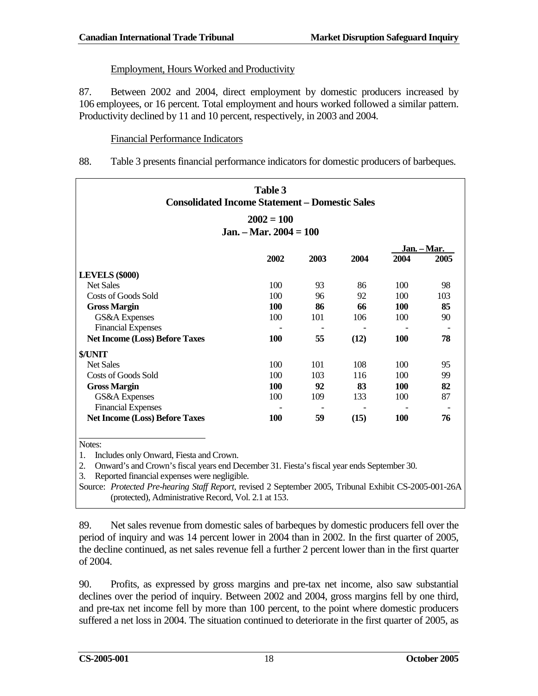# Employment, Hours Worked and Productivity

87. Between 2002 and 2004, direct employment by domestic producers increased by 106 employees, or 16 percent. Total employment and hours worked followed a similar pattern. Productivity declined by 11 and 10 percent, respectively, in 2003 and 2004.

## Financial Performance Indicators

88. Table 3 presents financial performance indicators for domestic producers of barbeques.

| <b>Consolidated Income Statement – Domestic Sales</b> | Table 3                  |      |      |            |             |
|-------------------------------------------------------|--------------------------|------|------|------------|-------------|
|                                                       | $2002 = 100$             |      |      |            |             |
|                                                       | Jan. – Mar. 2004 = $100$ |      |      |            |             |
|                                                       |                          |      |      |            | Jan. - Mar. |
|                                                       | 2002                     | 2003 | 2004 | 2004       | 2005        |
| <b>LEVELS (\$000)</b>                                 |                          |      |      |            |             |
| <b>Net Sales</b>                                      | 100                      | 93   | 86   | 100        | 98          |
| Costs of Goods Sold                                   | 100                      | 96   | 92   | 100        | 103         |
| <b>Gross Margin</b>                                   | <b>100</b>               | 86   | 66   | 100        | 85          |
| GS&A Expenses                                         | 100                      | 101  | 106  | 100        | 90          |
| <b>Financial Expenses</b>                             |                          |      |      |            |             |
| <b>Net Income (Loss) Before Taxes</b>                 | <b>100</b>               | 55   | (12) | 100        | 78          |
| \$/UNIT                                               |                          |      |      |            |             |
| <b>Net Sales</b>                                      | 100                      | 101  | 108  | 100        | 95          |
| Costs of Goods Sold                                   | 100                      | 103  | 116  | 100        | 99          |
| <b>Gross Margin</b>                                   | 100                      | 92   | 83   | 100        | 82          |
| GS&A Expenses                                         | 100                      | 109  | 133  | 100        | 87          |
| <b>Financial Expenses</b>                             |                          |      |      |            |             |
| <b>Net Income (Loss) Before Taxes</b>                 | 100                      | 59   | (15) | <b>100</b> | 76          |

Notes:

1. Includes only Onward, Fiesta and Crown.

2. Onward's and Crown's fiscal years end December 31. Fiesta's fiscal year ends September 30.

3. Reported financial expenses were negligible.

Source: *Protected Pre-hearing Staff Report*, revised 2 September 2005, Tribunal Exhibit CS-2005-001-26A (protected), Administrative Record, Vol. 2.1 at 153.

89. Net sales revenue from domestic sales of barbeques by domestic producers fell over the period of inquiry and was 14 percent lower in 2004 than in 2002. In the first quarter of 2005, the decline continued, as net sales revenue fell a further 2 percent lower than in the first quarter of 2004.

90. Profits, as expressed by gross margins and pre-tax net income, also saw substantial declines over the period of inquiry. Between 2002 and 2004, gross margins fell by one third, and pre-tax net income fell by more than 100 percent, to the point where domestic producers suffered a net loss in 2004. The situation continued to deteriorate in the first quarter of 2005, as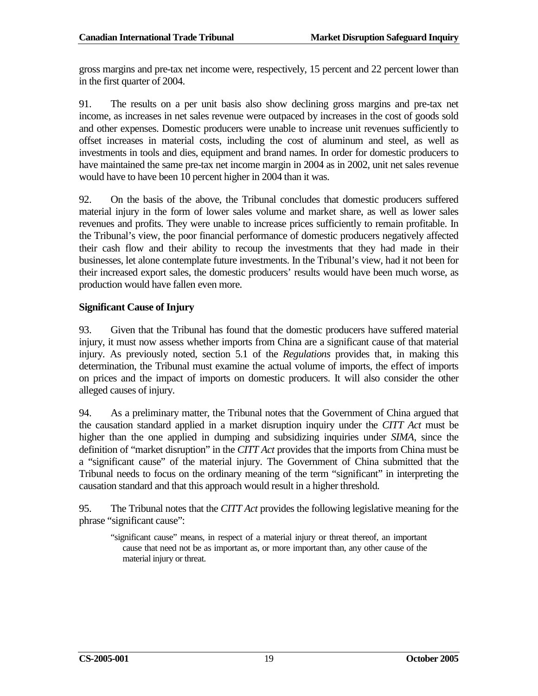gross margins and pre-tax net income were, respectively, 15 percent and 22 percent lower than in the first quarter of 2004.

91. The results on a per unit basis also show declining gross margins and pre-tax net income, as increases in net sales revenue were outpaced by increases in the cost of goods sold and other expenses. Domestic producers were unable to increase unit revenues sufficiently to offset increases in material costs, including the cost of aluminum and steel, as well as investments in tools and dies, equipment and brand names. In order for domestic producers to have maintained the same pre-tax net income margin in 2004 as in 2002, unit net sales revenue would have to have been 10 percent higher in 2004 than it was.

92. On the basis of the above, the Tribunal concludes that domestic producers suffered material injury in the form of lower sales volume and market share, as well as lower sales revenues and profits. They were unable to increase prices sufficiently to remain profitable. In the Tribunal's view, the poor financial performance of domestic producers negatively affected their cash flow and their ability to recoup the investments that they had made in their businesses, let alone contemplate future investments. In the Tribunal's view, had it not been for their increased export sales, the domestic producers' results would have been much worse, as production would have fallen even more.

## **Significant Cause of Injury**

93. Given that the Tribunal has found that the domestic producers have suffered material injury, it must now assess whether imports from China are a significant cause of that material injury. As previously noted, section 5.1 of the *Regulations* provides that, in making this determination, the Tribunal must examine the actual volume of imports, the effect of imports on prices and the impact of imports on domestic producers. It will also consider the other alleged causes of injury.

94. As a preliminary matter, the Tribunal notes that the Government of China argued that the causation standard applied in a market disruption inquiry under the *CITT Act* must be higher than the one applied in dumping and subsidizing inquiries under *SIMA*, since the definition of "market disruption" in the *CITT Act* provides that the imports from China must be a "significant cause" of the material injury. The Government of China submitted that the Tribunal needs to focus on the ordinary meaning of the term "significant" in interpreting the causation standard and that this approach would result in a higher threshold.

95. The Tribunal notes that the *CITT Act* provides the following legislative meaning for the phrase "significant cause":

"significant cause" means, in respect of a material injury or threat thereof, an important cause that need not be as important as, or more important than, any other cause of the material injury or threat.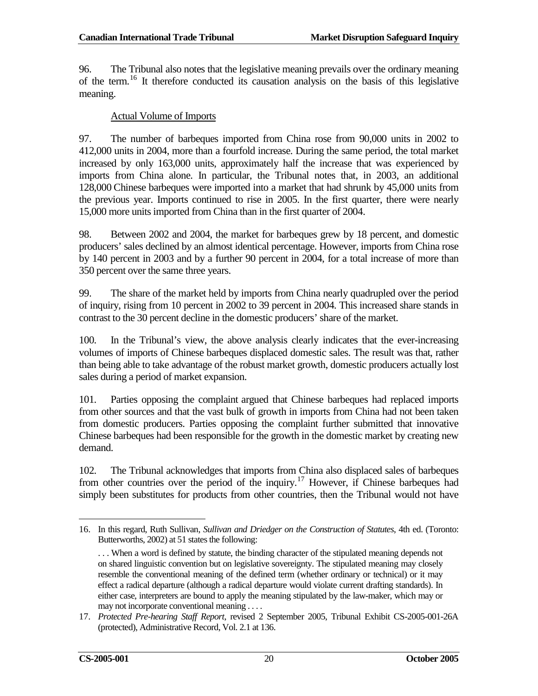96. The Tribunal also notes that the legislative meaning prevails over the ordinary meaning of the term.[16](#page-25-0) It therefore conducted its causation analysis on the basis of this legislative meaning.

#### Actual Volume of Imports

97. The number of barbeques imported from China rose from 90,000 units in 2002 to 412,000 units in 2004, more than a fourfold increase. During the same period, the total market increased by only 163,000 units, approximately half the increase that was experienced by imports from China alone. In particular, the Tribunal notes that, in 2003, an additional 128,000 Chinese barbeques were imported into a market that had shrunk by 45,000 units from the previous year. Imports continued to rise in 2005. In the first quarter, there were nearly 15,000 more units imported from China than in the first quarter of 2004.

98. Between 2002 and 2004, the market for barbeques grew by 18 percent, and domestic producers' sales declined by an almost identical percentage. However, imports from China rose by 140 percent in 2003 and by a further 90 percent in 2004, for a total increase of more than 350 percent over the same three years.

99. The share of the market held by imports from China nearly quadrupled over the period of inquiry, rising from 10 percent in 2002 to 39 percent in 2004. This increased share stands in contrast to the 30 percent decline in the domestic producers' share of the market.

100. In the Tribunal's view, the above analysis clearly indicates that the ever-increasing volumes of imports of Chinese barbeques displaced domestic sales. The result was that, rather than being able to take advantage of the robust market growth, domestic producers actually lost sales during a period of market expansion.

101. Parties opposing the complaint argued that Chinese barbeques had replaced imports from other sources and that the vast bulk of growth in imports from China had not been taken from domestic producers. Parties opposing the complaint further submitted that innovative Chinese barbeques had been responsible for the growth in the domestic market by creating new demand.

102. The Tribunal acknowledges that imports from China also displaced sales of barbeques from other countries over the period of the inquiry.[17](#page-25-1) However, if Chinese barbeques had simply been substitutes for products from other countries, then the Tribunal would not have

<span id="page-25-0"></span><sup>16.</sup> In this regard, Ruth Sullivan, *Sullivan and Driedger on the Construction of Statutes*, 4th ed. (Toronto: Butterworths, 2002) at 51 states the following:  $\overline{a}$ 

<sup>. . .</sup> When a word is defined by statute, the binding character of the stipulated meaning depends not on shared linguistic convention but on legislative sovereignty. The stipulated meaning may closely resemble the conventional meaning of the defined term (whether ordinary or technical) or it may effect a radical departure (although a radical departure would violate current drafting standards). In either case, interpreters are bound to apply the meaning stipulated by the law-maker, which may or may not incorporate conventional meaning . . . .

<span id="page-25-1"></span><sup>17.</sup> *Protected Pre-hearing Staff Report*, revised 2 September 2005, Tribunal Exhibit CS-2005-001-26A (protected), Administrative Record, Vol. 2.1 at 136.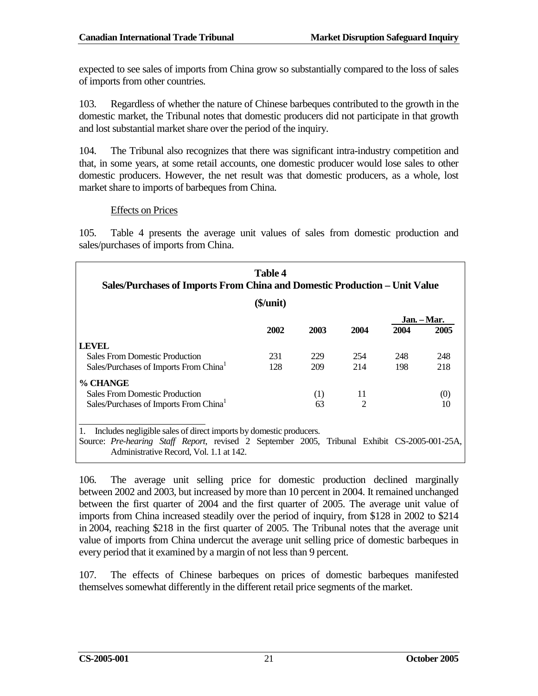expected to see sales of imports from China grow so substantially compared to the loss of sales of imports from other countries.

103. Regardless of whether the nature of Chinese barbeques contributed to the growth in the domestic market, the Tribunal notes that domestic producers did not participate in that growth and lost substantial market share over the period of the inquiry.

104. The Tribunal also recognizes that there was significant intra-industry competition and that, in some years, at some retail accounts, one domestic producer would lose sales to other domestic producers. However, the net result was that domestic producers, as a whole, lost market share to imports of barbeques from China.

## Effects on Prices

105. Table 4 presents the average unit values of sales from domestic production and sales/purchases of imports from China.

| <b>Table 4</b><br>Sales/Purchases of Imports From China and Domestic Production – Unit Value |          |      |                |      |                     |
|----------------------------------------------------------------------------------------------|----------|------|----------------|------|---------------------|
|                                                                                              | \$/unit) |      |                |      |                     |
|                                                                                              | 2002     | 2003 | 2004           | 2004 | Jan. – Mar.<br>2005 |
| <b>LEVEL</b>                                                                                 |          |      |                |      |                     |
| <b>Sales From Domestic Production</b>                                                        | 231      | 229  | 254            | 248  | 248                 |
| Sales/Purchases of Imports From China                                                        | 128      | 209  | 214            | 198  | 218                 |
| % CHANGE                                                                                     |          |      |                |      |                     |
| <b>Sales From Domestic Production</b>                                                        |          | (1)  | 11             |      | (0)                 |
| Sales/Purchases of Imports From China <sup>1</sup>                                           |          | 63   | $\overline{c}$ |      | 10                  |

1. Includes negligible sales of direct imports by domestic producers. Source: *Pre-hearing Staff Report*, revised 2 September 2005, Tribunal Exhibit CS-2005-001-25A, Administrative Record, Vol. 1.1 at 142.

106. The average unit selling price for domestic production declined marginally between 2002 and 2003, but increased by more than 10 percent in 2004. It remained unchanged between the first quarter of 2004 and the first quarter of 2005. The average unit value of imports from China increased steadily over the period of inquiry, from \$128 in 2002 to \$214 in 2004, reaching \$218 in the first quarter of 2005. The Tribunal notes that the average unit value of imports from China undercut the average unit selling price of domestic barbeques in every period that it examined by a margin of not less than 9 percent.

107. The effects of Chinese barbeques on prices of domestic barbeques manifested themselves somewhat differently in the different retail price segments of the market.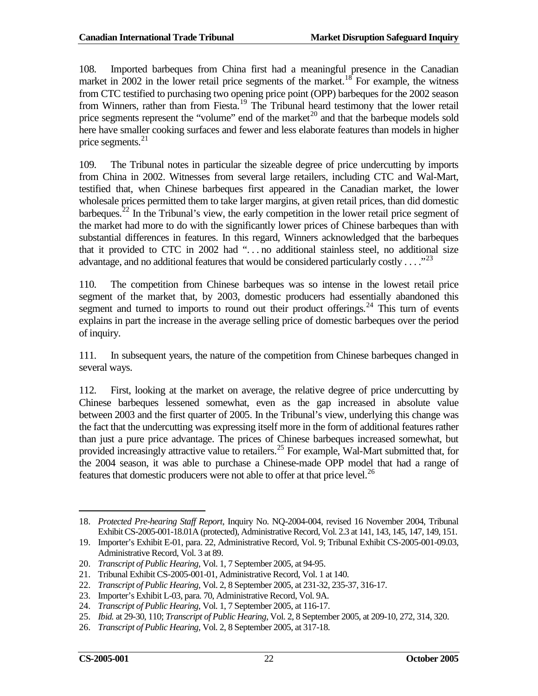108. Imported barbeques from China first had a meaningful presence in the Canadian market in 2002 in the lower retail price segments of the market.<sup>[18](#page-27-0)</sup> For example, the witness from CTC testified to purchasing two opening price point (OPP) barbeques for the 2002 season from Winners, rather than from Fiesta.<sup>[19](#page-27-1)</sup> The Tribunal heard testimony that the lower retail price segments represent the "volume" end of the market<sup>[20](#page-27-2)</sup> and that the barbeque models sold here have smaller cooking surfaces and fewer and less elaborate features than models in higher price segments. [21](#page-27-3)

109. The Tribunal notes in particular the sizeable degree of price undercutting by imports from China in 2002. Witnesses from several large retailers, including CTC and Wal-Mart, testified that, when Chinese barbeques first appeared in the Canadian market, the lower wholesale prices permitted them to take larger margins, at given retail prices, than did domestic barbeques.<sup>[22](#page-27-4)</sup> In the Tribunal's view, the early competition in the lower retail price segment of the market had more to do with the significantly lower prices of Chinese barbeques than with substantial differences in features. In this regard, Winners acknowledged that the barbeques that it provided to CTC in 2002 had ". . . no additional stainless steel, no additional size advantage, and no additional features that would be considered particularly costly  $\dots$ ."<sup>[23](#page-27-5)</sup>

110. The competition from Chinese barbeques was so intense in the lowest retail price segment of the market that, by 2003, domestic producers had essentially abandoned this segment and turned to imports to round out their product offerings.<sup>[24](#page-27-6)</sup> This turn of events explains in part the increase in the average selling price of domestic barbeques over the period of inquiry.

111. In subsequent years, the nature of the competition from Chinese barbeques changed in several ways.

112. First, looking at the market on average, the relative degree of price undercutting by Chinese barbeques lessened somewhat, even as the gap increased in absolute value between 2003 and the first quarter of 2005. In the Tribunal's view, underlying this change was the fact that the undercutting was expressing itself more in the form of additional features rather than just a pure price advantage. The prices of Chinese barbeques increased somewhat, but provided increasingly attractive value to retailers.<sup>[25](#page-27-7)</sup> For example, Wal-Mart submitted that, for the 2004 season, it was able to purchase a Chinese-made OPP model that had a range of features that domestic producers were not able to offer at that price level.<sup>[26](#page-27-8)</sup>

<span id="page-27-0"></span><sup>18.</sup> *Protected Pre-hearing Staff Report*, Inquiry No. NQ-2004-004, revised 16 November 2004, Tribunal Exhibit CS-2005-001-18.01A (protected), Administrative Record, Vol. 2.3 at 141, 143, 145, 147, 149, 151.  $\overline{a}$ 

<span id="page-27-1"></span><sup>19.</sup> Importer's Exhibit E-01, para. 22, Administrative Record, Vol. 9; Tribunal Exhibit CS-2005-001-09.03, Administrative Record, Vol. 3 at 89.

<span id="page-27-2"></span><sup>20.</sup> *Transcript of Public Hearing*, Vol. 1, 7 September 2005, at 94-95.

<span id="page-27-3"></span><sup>21.</sup> Tribunal Exhibit CS-2005-001-01, Administrative Record, Vol. 1 at 140.

<span id="page-27-4"></span><sup>22.</sup> *Transcript of Public Hearing*, Vol. 2, 8 September 2005, at 231-32, 235-37, 316-17.

<span id="page-27-5"></span><sup>23.</sup> Importer's Exhibit L-03, para. 70, Administrative Record, Vol. 9A.

<span id="page-27-6"></span><sup>24.</sup> *Transcript of Public Hearing*, Vol. 1, 7 September 2005, at 116-17.

<span id="page-27-7"></span><sup>25.</sup> *Ibid.* at 29-30, 110; *Transcript of Public Hearing*, Vol. 2, 8 September 2005, at 209-10, 272, 314, 320.

<span id="page-27-8"></span><sup>26.</sup> *Transcript of Public Hearing*, Vol. 2, 8 September 2005, at 317-18.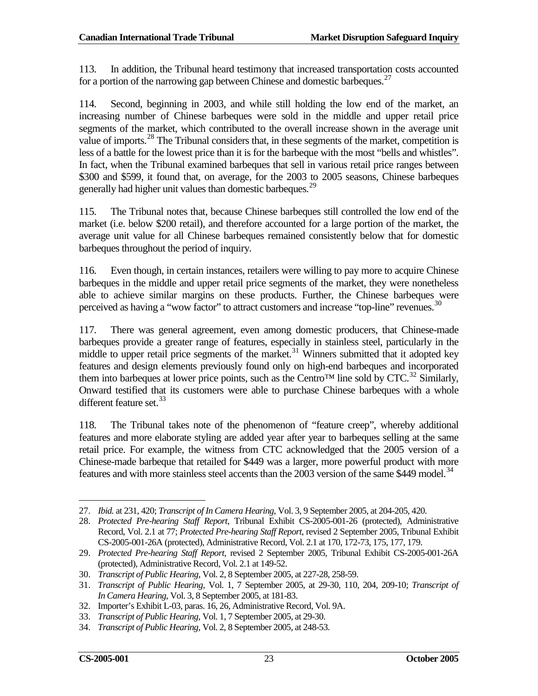113. In addition, the Tribunal heard testimony that increased transportation costs accounted for a portion of the narrowing gap between Chinese and domestic barbeques.<sup>[27](#page-28-0)</sup>

114. Second, beginning in 2003, and while still holding the low end of the market, an increasing number of Chinese barbeques were sold in the middle and upper retail price segments of the market, which contributed to the overall increase shown in the average unit value of imports.<sup>[28](#page-28-1)</sup> The Tribunal considers that, in these segments of the market, competition is less of a battle for the lowest price than it is for the barbeque with the most "bells and whistles". In fact, when the Tribunal examined barbeques that sell in various retail price ranges between \$300 and \$599, it found that, on average, for the 2003 to 2005 seasons, Chinese barbeques generally had higher unit values than domestic barbeques.<sup>[29](#page-28-2)</sup>

115. The Tribunal notes that, because Chinese barbeques still controlled the low end of the market (i.e. below \$200 retail), and therefore accounted for a large portion of the market, the average unit value for all Chinese barbeques remained consistently below that for domestic barbeques throughout the period of inquiry.

116. Even though, in certain instances, retailers were willing to pay more to acquire Chinese barbeques in the middle and upper retail price segments of the market, they were nonetheless able to achieve similar margins on these products. Further, the Chinese barbeques were perceived as having a "wow factor" to attract customers and increase "top-line" revenues.  $30$ 

117. There was general agreement, even among domestic producers, that Chinese-made barbeques provide a greater range of features, especially in stainless steel, particularly in the middle to upper retail price segments of the market.<sup>[31](#page-28-4)</sup> Winners submitted that it adopted key features and design elements previously found only on high-end barbeques and incorporated them into barbeques at lower price points, such as the Centro<sup>™</sup> line sold by CTC.<sup>[32](#page-28-5)</sup> Similarly, Onward testified that its customers were able to purchase Chinese barbeques with a whole different feature set.<sup>[33](#page-28-6)</sup>

118. The Tribunal takes note of the phenomenon of "feature creep", whereby additional features and more elaborate styling are added year after year to barbeques selling at the same retail price. For example, the witness from CTC acknowledged that the 2005 version of a Chinese-made barbeque that retailed for \$449 was a larger, more powerful product with more features and with more stainless steel accents than the 2003 version of the same \$449 model.<sup>[34](#page-28-7)</sup>

 $\overline{a}$ 

<span id="page-28-0"></span><sup>27.</sup> *Ibid.* at 231, 420; *Transcript of In Camera Hearing*, Vol. 3, 9 September 2005, at 204-205, 420.

<span id="page-28-1"></span><sup>28.</sup> *Protected Pre-hearing Staff Report*, Tribunal Exhibit CS-2005-001-26 (protected), Administrative Record, Vol. 2.1 at 77; *Protected Pre-hearing Staff Report*, revised 2 September 2005, Tribunal Exhibit CS-2005-001-26A (protected), Administrative Record, Vol. 2.1 at 170, 172-73, 175, 177, 179.

<span id="page-28-2"></span><sup>29.</sup> *Protected Pre-hearing Staff Report*, revised 2 September 2005, Tribunal Exhibit CS-2005-001-26A (protected), Administrative Record, Vol. 2.1 at 149-52.

<span id="page-28-3"></span><sup>30.</sup> *Transcript of Public Hearing*, Vol. 2, 8 September 2005, at 227-28, 258-59.

<span id="page-28-4"></span><sup>31.</sup> *Transcript of Public Hearing*, Vol. 1, 7 September 2005, at 29-30, 110, 204, 209-10; *Transcript of In Camera Hearing*, Vol. 3, 8 September 2005, at 181-83.

<span id="page-28-5"></span><sup>32.</sup> Importer's Exhibit L-03, paras. 16, 26, Administrative Record, Vol. 9A.

<span id="page-28-6"></span><sup>33.</sup> *Transcript of Public Hearing*, Vol. 1, 7 September 2005, at 29-30.

<span id="page-28-7"></span><sup>34.</sup> *Transcript of Public Hearing*, Vol. 2, 8 September 2005, at 248-53.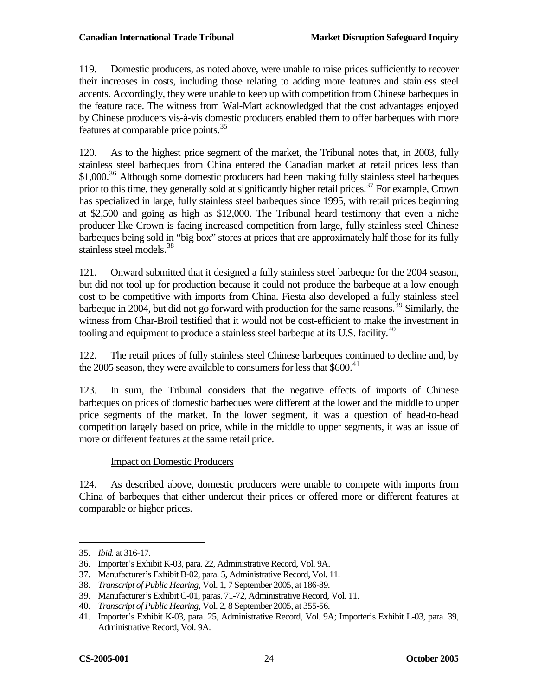119. Domestic producers, as noted above, were unable to raise prices sufficiently to recover their increases in costs, including those relating to adding more features and stainless steel accents. Accordingly, they were unable to keep up with competition from Chinese barbeques in the feature race. The witness from Wal-Mart acknowledged that the cost advantages enjoyed by Chinese producers vis-à-vis domestic producers enabled them to offer barbeques with more features at comparable price points.<sup>[35](#page-29-0)</sup>

120. As to the highest price segment of the market, the Tribunal notes that, in 2003, fully stainless steel barbeques from China entered the Canadian market at retail prices less than \$1,000.<sup>[36](#page-29-1)</sup> Although some domestic producers had been making fully stainless steel barbeques prior to this time, they generally sold at significantly higher retail prices.<sup>[37](#page-29-2)</sup> For example, Crown has specialized in large, fully stainless steel barbeques since 1995, with retail prices beginning at \$2,500 and going as high as \$12,000. The Tribunal heard testimony that even a niche producer like Crown is facing increased competition from large, fully stainless steel Chinese barbeques being sold in "big box" stores at prices that are approximately half those for its fully stainless steel models.<sup>[38](#page-29-3)</sup>

121. Onward submitted that it designed a fully stainless steel barbeque for the 2004 season, but did not tool up for production because it could not produce the barbeque at a low enough cost to be competitive with imports from China. Fiesta also developed a fully stainless steel barbeque in 2004, but did not go forward with production for the same reasons.<sup>[39](#page-29-4)</sup> Similarly, the witness from Char-Broil testified that it would not be cost-efficient to make the investment in tooling and equipment to produce a stainless steel barbeque at its U.S. facility.<sup>[40](#page-29-5)</sup>

122. The retail prices of fully stainless steel Chinese barbeques continued to decline and, by the 2005 season, they were available to consumers for less that \$600.<sup>[41](#page-29-6)</sup>

123. In sum, the Tribunal considers that the negative effects of imports of Chinese barbeques on prices of domestic barbeques were different at the lower and the middle to upper price segments of the market. In the lower segment, it was a question of head-to-head competition largely based on price, while in the middle to upper segments, it was an issue of more or different features at the same retail price.

### Impact on Domestic Producers

124. As described above, domestic producers were unable to compete with imports from China of barbeques that either undercut their prices or offered more or different features at comparable or higher prices.

 $\overline{a}$ 

<span id="page-29-0"></span><sup>35.</sup> *Ibid.* at 316-17.

<span id="page-29-1"></span><sup>36.</sup> Importer's Exhibit K-03, para. 22, Administrative Record, Vol. 9A.

<span id="page-29-2"></span><sup>37.</sup> Manufacturer's Exhibit B-02, para. 5, Administrative Record, Vol. 11.

<span id="page-29-3"></span><sup>38.</sup> *Transcript of Public Hearing*, Vol. 1, 7 September 2005, at 186-89.

<span id="page-29-4"></span><sup>39.</sup> Manufacturer's Exhibit C-01, paras. 71-72, Administrative Record, Vol. 11.

<span id="page-29-5"></span><sup>40.</sup> *Transcript of Public Hearing*, Vol. 2, 8 September 2005, at 355-56.

<span id="page-29-6"></span><sup>41.</sup> Importer's Exhibit K-03, para. 25, Administrative Record, Vol. 9A; Importer's Exhibit L-03, para. 39, Administrative Record, Vol. 9A.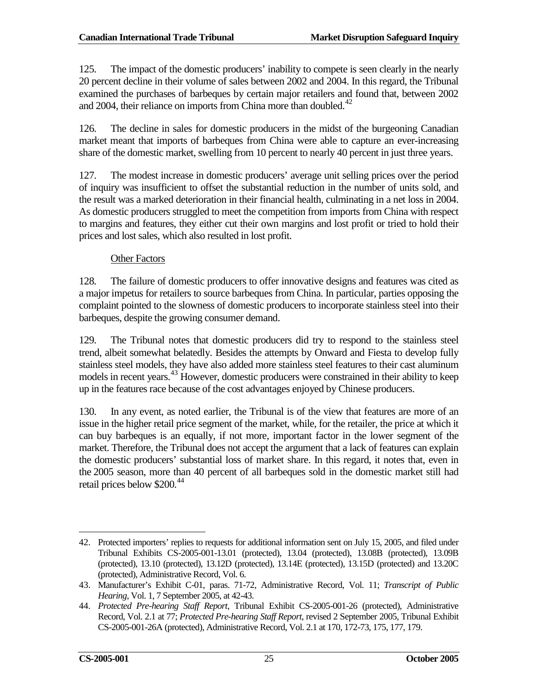125. The impact of the domestic producers' inability to compete is seen clearly in the nearly 20 percent decline in their volume of sales between 2002 and 2004. In this regard, the Tribunal examined the purchases of barbeques by certain major retailers and found that, between 2002 and 2004, their reliance on imports from China more than doubled. $42$ 

126. The decline in sales for domestic producers in the midst of the burgeoning Canadian market meant that imports of barbeques from China were able to capture an ever-increasing share of the domestic market, swelling from 10 percent to nearly 40 percent in just three years.

127. The modest increase in domestic producers' average unit selling prices over the period of inquiry was insufficient to offset the substantial reduction in the number of units sold, and the result was a marked deterioration in their financial health, culminating in a net loss in 2004. As domestic producers struggled to meet the competition from imports from China with respect to margins and features, they either cut their own margins and lost profit or tried to hold their prices and lost sales, which also resulted in lost profit.

# Other Factors

128. The failure of domestic producers to offer innovative designs and features was cited as a major impetus for retailers to source barbeques from China. In particular, parties opposing the complaint pointed to the slowness of domestic producers to incorporate stainless steel into their barbeques, despite the growing consumer demand.

129. The Tribunal notes that domestic producers did try to respond to the stainless steel trend, albeit somewhat belatedly. Besides the attempts by Onward and Fiesta to develop fully stainless steel models, they have also added more stainless steel features to their cast aluminum models in recent years.<sup>[43](#page-30-1)</sup> However, domestic producers were constrained in their ability to keep up in the features race because of the cost advantages enjoyed by Chinese producers.

130. In any event, as noted earlier, the Tribunal is of the view that features are more of an issue in the higher retail price segment of the market, while, for the retailer, the price at which it can buy barbeques is an equally, if not more, important factor in the lower segment of the market. Therefore, the Tribunal does not accept the argument that a lack of features can explain the domestic producers' substantial loss of market share. In this regard, it notes that, even in the 2005 season, more than 40 percent of all barbeques sold in the domestic market still had retail prices below \$200.<sup>[44](#page-30-2)</sup>

<span id="page-30-0"></span><sup>42.</sup> Protected importers' replies to requests for additional information sent on July 15, 2005, and filed under Tribunal Exhibits CS-2005-001-13.01 (protected), 13.04 (protected), 13.08B (protected), 13.09B (protected), 13.10 (protected), 13.12D (protected), 13.14E (protected), 13.15D (protected) and 13.20C (protected), Administrative Record, Vol. 6.  $\overline{a}$ 

<span id="page-30-1"></span><sup>43.</sup> Manufacturer's Exhibit C-01, paras. 71-72, Administrative Record, Vol. 11; *Transcript of Public Hearing*, Vol. 1, 7 September 2005, at 42-43.

<span id="page-30-2"></span><sup>44.</sup> *Protected Pre-hearing Staff Report*, Tribunal Exhibit CS-2005-001-26 (protected), Administrative Record, Vol. 2.1 at 77; *Protected Pre-hearing Staff Report*, revised 2 September 2005, Tribunal Exhibit CS-2005-001-26A (protected), Administrative Record, Vol. 2.1 at 170, 172-73, 175, 177, 179.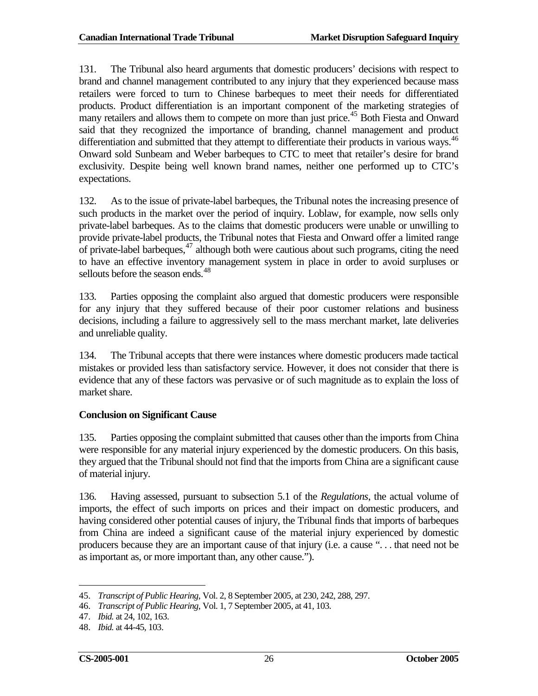131. The Tribunal also heard arguments that domestic producers' decisions with respect to brand and channel management contributed to any injury that they experienced because mass retailers were forced to turn to Chinese barbeques to meet their needs for differentiated products. Product differentiation is an important component of the marketing strategies of many retailers and allows them to compete on more than just price.<sup>[45](#page-31-0)</sup> Both Fiesta and Onward said that they recognized the importance of branding, channel management and product differentiation and submitted that they attempt to differentiate their products in various ways.<sup>[46](#page-31-1)</sup> Onward sold Sunbeam and Weber barbeques to CTC to meet that retailer's desire for brand exclusivity. Despite being well known brand names, neither one performed up to CTC's expectations.

132. As to the issue of private-label barbeques, the Tribunal notes the increasing presence of such products in the market over the period of inquiry. Loblaw, for example, now sells only private-label barbeques. As to the claims that domestic producers were unable or unwilling to provide private-label products, the Tribunal notes that Fiesta and Onward offer a limited range of private-label barbeques,<sup>[47](#page-31-2)</sup> although both were cautious about such programs, citing the need to have an effective inventory management system in place in order to avoid surpluses or sellouts before the season ends.<sup>[48](#page-31-3)</sup>

133. Parties opposing the complaint also argued that domestic producers were responsible for any injury that they suffered because of their poor customer relations and business decisions, including a failure to aggressively sell to the mass merchant market, late deliveries and unreliable quality.

134. The Tribunal accepts that there were instances where domestic producers made tactical mistakes or provided less than satisfactory service. However, it does not consider that there is evidence that any of these factors was pervasive or of such magnitude as to explain the loss of market share.

### **Conclusion on Significant Cause**

135. Parties opposing the complaint submitted that causes other than the imports from China were responsible for any material injury experienced by the domestic producers. On this basis, they argued that the Tribunal should not find that the imports from China are a significant cause of material injury.

136. Having assessed, pursuant to subsection 5.1 of the *Regulations*, the actual volume of imports, the effect of such imports on prices and their impact on domestic producers, and having considered other potential causes of injury, the Tribunal finds that imports of barbeques from China are indeed a significant cause of the material injury experienced by domestic producers because they are an important cause of that injury (i.e. a cause ". . . that need not be as important as, or more important than, any other cause.").

<span id="page-31-0"></span><sup>45.</sup> *Transcript of Public Hearing*, Vol. 2, 8 September 2005, at 230, 242, 288, 297.  $\overline{a}$ 

<span id="page-31-1"></span><sup>46.</sup> *Transcript of Public Hearing*, Vol. 1, 7 September 2005, at 41, 103.

<span id="page-31-2"></span><sup>47.</sup> *Ibid.* at 24, 102, 163.

<span id="page-31-3"></span><sup>48.</sup> *Ibid.* at 44-45, 103.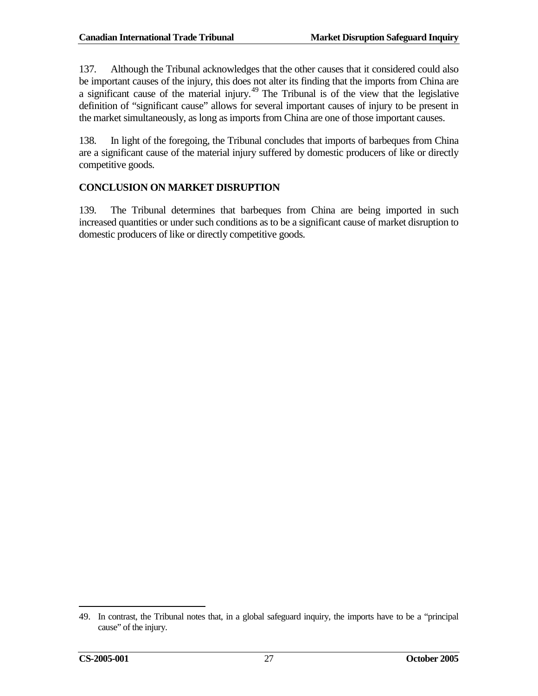137. Although the Tribunal acknowledges that the other causes that it considered could also be important causes of the injury, this does not alter its finding that the imports from China are a significant cause of the material injury.<sup>[49](#page-32-1)</sup> The Tribunal is of the view that the legislative definition of "significant cause" allows for several important causes of injury to be present in the market simultaneously, as long as imports from China are one of those important causes.

138. In light of the foregoing, the Tribunal concludes that imports of barbeques from China are a significant cause of the material injury suffered by domestic producers of like or directly competitive goods.

# <span id="page-32-0"></span>**CONCLUSION ON MARKET DISRUPTION**

139. The Tribunal determines that barbeques from China are being imported in such increased quantities or under such conditions as to be a significant cause of market disruption to domestic producers of like or directly competitive goods.

<span id="page-32-1"></span><sup>49.</sup> In contrast, the Tribunal notes that, in a global safeguard inquiry, the imports have to be a "principal cause" of the injury.  $\overline{a}$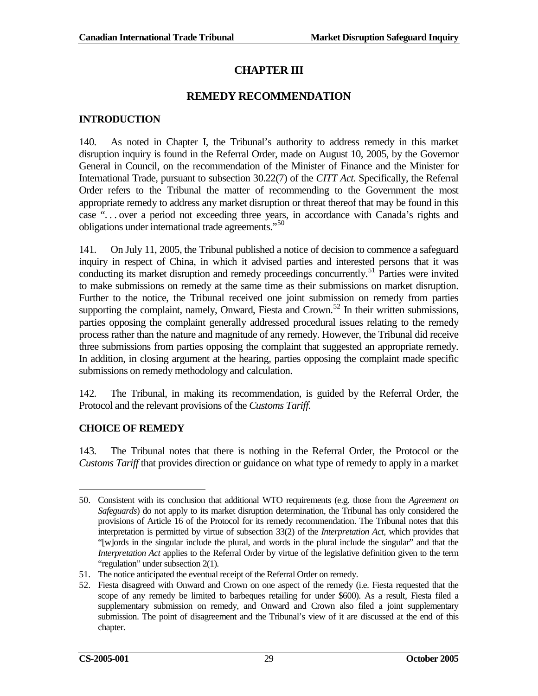# **CHAPTER III**

# **REMEDY RECOMMENDATION**

## <span id="page-34-1"></span><span id="page-34-0"></span>**INTRODUCTION**

140. As noted in Chapter I, the Tribunal's authority to address remedy in this market disruption inquiry is found in the Referral Order, made on August 10, 2005, by the Governor General in Council, on the recommendation of the Minister of Finance and the Minister for International Trade, pursuant to subsection 30.22(7) of the *CITT Act.* Specifically, the Referral Order refers to the Tribunal the matter of recommending to the Government the most appropriate remedy to address any market disruption or threat thereof that may be found in this case ". . . over a period not exceeding three years, in accordance with Canada's rights and obligations under international trade agreements."<sup>[50](#page-34-3)</sup>

141. On July 11, 2005, the Tribunal published a notice of decision to commence a safeguard inquiry in respect of China, in which it advised parties and interested persons that it was conducting its market disruption and remedy proceedings concurrently.<sup>[51](#page-34-4)</sup> Parties were invited to make submissions on remedy at the same time as their submissions on market disruption. Further to the notice, the Tribunal received one joint submission on remedy from parties supporting the complaint, namely, Onward, Fiesta and Crown.<sup>[52](#page-34-5)</sup> In their written submissions, parties opposing the complaint generally addressed procedural issues relating to the remedy process rather than the nature and magnitude of any remedy. However, the Tribunal did receive three submissions from parties opposing the complaint that suggested an appropriate remedy. In addition, in closing argument at the hearing, parties opposing the complaint made specific submissions on remedy methodology and calculation.

142. The Tribunal, in making its recommendation, is guided by the Referral Order, the Protocol and the relevant provisions of the *Customs Tariff*.

# <span id="page-34-2"></span>**CHOICE OF REMEDY**

143. The Tribunal notes that there is nothing in the Referral Order, the Protocol or the *Customs Tariff* that provides direction or guidance on what type of remedy to apply in a market

<span id="page-34-3"></span><sup>50.</sup> Consistent with its conclusion that additional WTO requirements (e.g. those from the *Agreement on Safeguards*) do not apply to its market disruption determination, the Tribunal has only considered the provisions of Article 16 of the Protocol for its remedy recommendation. The Tribunal notes that this interpretation is permitted by virtue of subsection 33(2) of the *Interpretation Act,* which provides that "[w]ords in the singular include the plural, and words in the plural include the singular" and that the *Interpretation Act* applies to the Referral Order by virtue of the legislative definition given to the term "regulation" under subsection 2(1).  $\overline{a}$ 

<span id="page-34-4"></span><sup>51.</sup> The notice anticipated the eventual receipt of the Referral Order on remedy.

<span id="page-34-5"></span><sup>52.</sup> Fiesta disagreed with Onward and Crown on one aspect of the remedy (i.e. Fiesta requested that the scope of any remedy be limited to barbeques retailing for under \$600). As a result, Fiesta filed a supplementary submission on remedy, and Onward and Crown also filed a joint supplementary submission. The point of disagreement and the Tribunal's view of it are discussed at the end of this chapter.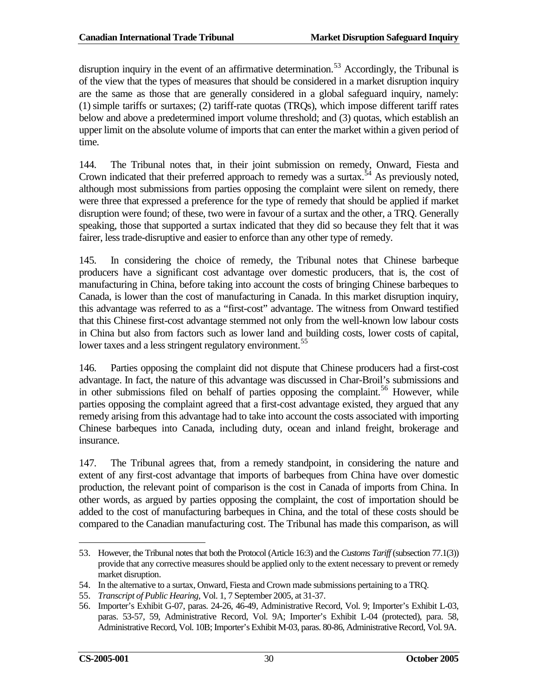disruption inquiry in the event of an affirmative determination.<sup>[53](#page-35-0)</sup> Accordingly, the Tribunal is of the view that the types of measures that should be considered in a market disruption inquiry are the same as those that are generally considered in a global safeguard inquiry, namely: (1) simple tariffs or surtaxes; (2) tariff-rate quotas (TRQs), which impose different tariff rates below and above a predetermined import volume threshold; and (3) quotas, which establish an upper limit on the absolute volume of imports that can enter the market within a given period of time.

144. The Tribunal notes that, in their joint submission on remedy, Onward, Fiesta and Crown indicated that their preferred approach to remedy was a surtax.<sup>[54](#page-35-1)</sup> As previously noted, although most submissions from parties opposing the complaint were silent on remedy, there were three that expressed a preference for the type of remedy that should be applied if market disruption were found; of these, two were in favour of a surtax and the other, a TRQ. Generally speaking, those that supported a surtax indicated that they did so because they felt that it was fairer, less trade-disruptive and easier to enforce than any other type of remedy.

145. In considering the choice of remedy, the Tribunal notes that Chinese barbeque producers have a significant cost advantage over domestic producers, that is, the cost of manufacturing in China, before taking into account the costs of bringing Chinese barbeques to Canada, is lower than the cost of manufacturing in Canada. In this market disruption inquiry, this advantage was referred to as a "first-cost" advantage. The witness from Onward testified that this Chinese first-cost advantage stemmed not only from the well-known low labour costs in China but also from factors such as lower land and building costs, lower costs of capital, lower taxes and a less stringent regulatory environment.<sup>[55](#page-35-2)</sup>

146. Parties opposing the complaint did not dispute that Chinese producers had a first-cost advantage. In fact, the nature of this advantage was discussed in Char-Broil's submissions and in other submissions filed on behalf of parties opposing the complaint.<sup>[56](#page-35-3)</sup> However, while parties opposing the complaint agreed that a first-cost advantage existed, they argued that any remedy arising from this advantage had to take into account the costs associated with importing Chinese barbeques into Canada, including duty, ocean and inland freight, brokerage and insurance.

147. The Tribunal agrees that, from a remedy standpoint, in considering the nature and extent of any first-cost advantage that imports of barbeques from China have over domestic production, the relevant point of comparison is the cost in Canada of imports from China. In other words, as argued by parties opposing the complaint, the cost of importation should be added to the cost of manufacturing barbeques in China, and the total of these costs should be compared to the Canadian manufacturing cost. The Tribunal has made this comparison, as will

<span id="page-35-0"></span><sup>53.</sup> However, the Tribunal notes that both the Protocol (Article 16:3) and the *Customs Tariff* (subsection 77.1(3)) provide that any corrective measures should be applied only to the extent necessary to prevent or remedy market disruption.  $\overline{a}$ 

<span id="page-35-1"></span><sup>54.</sup> In the alternative to a surtax, Onward, Fiesta and Crown made submissions pertaining to a TRQ.

<span id="page-35-2"></span><sup>55.</sup> *Transcript of Public Hearing*, Vol. 1, 7 September 2005, at 31-37.

<span id="page-35-3"></span><sup>56.</sup> Importer's Exhibit G-07, paras. 24-26, 46-49, Administrative Record, Vol. 9; Importer's Exhibit L-03, paras. 53-57, 59, Administrative Record, Vol. 9A; Importer's Exhibit L-04 (protected), para. 58, Administrative Record, Vol. 10B; Importer's Exhibit M-03, paras. 80-86, Administrative Record, Vol. 9A.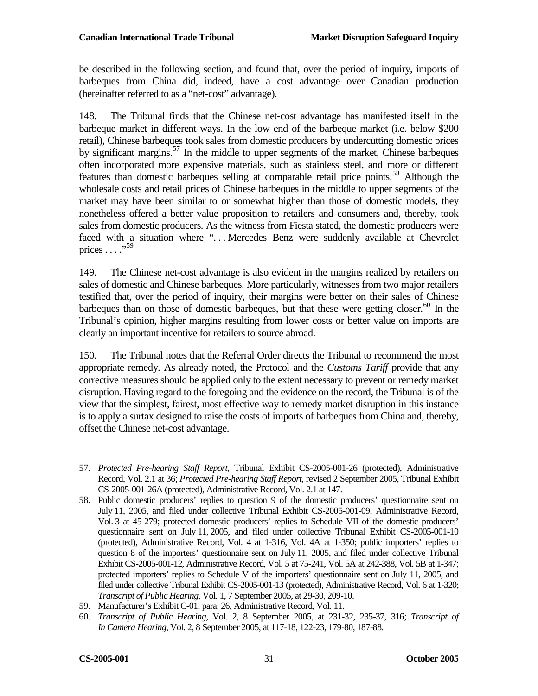be described in the following section, and found that, over the period of inquiry, imports of barbeques from China did, indeed, have a cost advantage over Canadian production (hereinafter referred to as a "net-cost" advantage).

148. The Tribunal finds that the Chinese net-cost advantage has manifested itself in the barbeque market in different ways. In the low end of the barbeque market (i.e. below \$200 retail), Chinese barbeques took sales from domestic producers by undercutting domestic prices by significant margins.<sup>[57](#page-36-0)</sup> In the middle to upper segments of the market, Chinese barbeques often incorporated more expensive materials, such as stainless steel, and more or different features than domestic barbeques selling at comparable retail price points.[58](#page-36-1) Although the wholesale costs and retail prices of Chinese barbeques in the middle to upper segments of the market may have been similar to or somewhat higher than those of domestic models, they nonetheless offered a better value proposition to retailers and consumers and, thereby, took sales from domestic producers. As the witness from Fiesta stated, the domestic producers were faced with a situation where "... Mercedes Benz were suddenly available at Chevrolet prices . . . ."[59](#page-36-2)

149. The Chinese net-cost advantage is also evident in the margins realized by retailers on sales of domestic and Chinese barbeques. More particularly, witnesses from two major retailers testified that, over the period of inquiry, their margins were better on their sales of Chinese barbeques than on those of domestic barbeques, but that these were getting closer.<sup>[60](#page-36-3)</sup> In the Tribunal's opinion, higher margins resulting from lower costs or better value on imports are clearly an important incentive for retailers to source abroad.

150. The Tribunal notes that the Referral Order directs the Tribunal to recommend the most appropriate remedy. As already noted, the Protocol and the *Customs Tariff* provide that any corrective measures should be applied only to the extent necessary to prevent or remedy market disruption. Having regard to the foregoing and the evidence on the record, the Tribunal is of the view that the simplest, fairest, most effective way to remedy market disruption in this instance is to apply a surtax designed to raise the costs of imports of barbeques from China and, thereby, offset the Chinese net-cost advantage.

<span id="page-36-0"></span><sup>57.</sup> *Protected Pre-hearing Staff Report*, Tribunal Exhibit CS-2005-001-26 (protected), Administrative Record, Vol. 2.1 at 36; *Protected Pre-hearing Staff Report*, revised 2 September 2005, Tribunal Exhibit CS-2005-001-26A (protected), Administrative Record, Vol. 2.1 at 147.  $\overline{a}$ 

<span id="page-36-1"></span><sup>58.</sup> Public domestic producers' replies to question 9 of the domestic producers' questionnaire sent on July 11, 2005, and filed under collective Tribunal Exhibit CS-2005-001-09, Administrative Record, Vol. 3 at 45-279; protected domestic producers' replies to Schedule VII of the domestic producers' questionnaire sent on July 11, 2005, and filed under collective Tribunal Exhibit CS-2005-001-10 (protected), Administrative Record, Vol. 4 at 1-316, Vol. 4A at 1-350; public importers' replies to question 8 of the importers' questionnaire sent on July 11, 2005, and filed under collective Tribunal Exhibit CS-2005-001-12, Administrative Record, Vol. 5 at 75-241, Vol. 5A at 242-388, Vol. 5B at 1-347; protected importers' replies to Schedule V of the importers' questionnaire sent on July 11, 2005, and filed under collective Tribunal Exhibit CS-2005-001-13 (protected), Administrative Record, Vol. 6 at 1-320; *Transcript of Public Hearing*, Vol. 1, 7 September 2005, at 29-30, 209-10.

<span id="page-36-2"></span><sup>59.</sup> Manufacturer's Exhibit C-01, para. 26, Administrative Record, Vol. 11.

<span id="page-36-3"></span><sup>60.</sup> *Transcript of Public Hearing*, Vol. 2, 8 September 2005, at 231-32, 235-37, 316; *Transcript of In Camera Hearing*, Vol. 2, 8 September 2005, at 117-18, 122-23, 179-80, 187-88.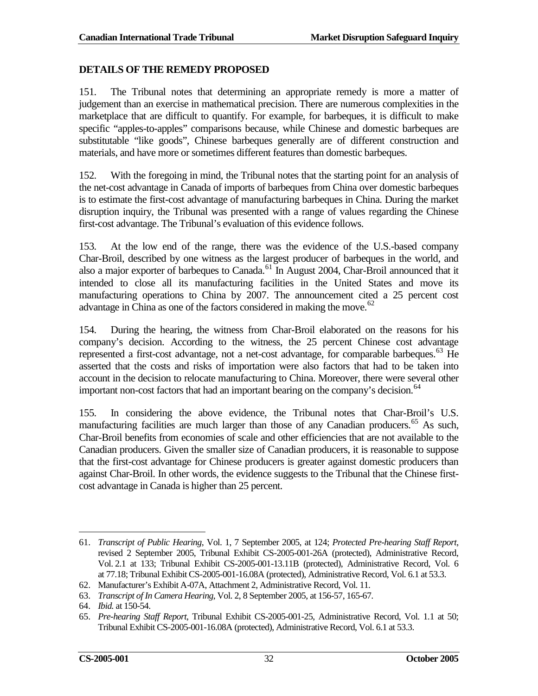### <span id="page-37-0"></span>**DETAILS OF THE REMEDY PROPOSED**

151. The Tribunal notes that determining an appropriate remedy is more a matter of judgement than an exercise in mathematical precision. There are numerous complexities in the marketplace that are difficult to quantify. For example, for barbeques, it is difficult to make specific "apples-to-apples" comparisons because, while Chinese and domestic barbeques are substitutable "like goods", Chinese barbeques generally are of different construction and materials, and have more or sometimes different features than domestic barbeques.

152. With the foregoing in mind, the Tribunal notes that the starting point for an analysis of the net-cost advantage in Canada of imports of barbeques from China over domestic barbeques is to estimate the first-cost advantage of manufacturing barbeques in China. During the market disruption inquiry, the Tribunal was presented with a range of values regarding the Chinese first-cost advantage. The Tribunal's evaluation of this evidence follows.

153. At the low end of the range, there was the evidence of the U.S.-based company Char-Broil, described by one witness as the largest producer of barbeques in the world, and also a major exporter of barbeques to Canada.<sup>[61](#page-37-1)</sup> In August 2004, Char-Broil announced that it intended to close all its manufacturing facilities in the United States and move its manufacturing operations to China by 2007. The announcement cited a 25 percent cost advantage in China as one of the factors considered in making the move.<sup>[62](#page-37-2)</sup>

154. During the hearing, the witness from Char-Broil elaborated on the reasons for his company's decision. According to the witness, the 25 percent Chinese cost advantage represented a first-cost advantage, not a net-cost advantage, for comparable barbeques.<sup>[63](#page-37-3)</sup> He asserted that the costs and risks of importation were also factors that had to be taken into account in the decision to relocate manufacturing to China. Moreover, there were several other important non-cost factors that had an important bearing on the company's decision. $64$ 

155. In considering the above evidence, the Tribunal notes that Char-Broil's U.S. manufacturing facilities are much larger than those of any Canadian producers.<sup>[65](#page-37-5)</sup> As such, Char-Broil benefits from economies of scale and other efficiencies that are not available to the Canadian producers. Given the smaller size of Canadian producers, it is reasonable to suppose that the first-cost advantage for Chinese producers is greater against domestic producers than against Char-Broil. In other words, the evidence suggests to the Tribunal that the Chinese firstcost advantage in Canada is higher than 25 percent.

<span id="page-37-1"></span><sup>61.</sup> *Transcript of Public Hearing*, Vol. 1, 7 September 2005, at 124; *Protected Pre-hearing Staff Report*, revised 2 September 2005, Tribunal Exhibit CS-2005-001-26A (protected), Administrative Record, Vol. 2.1 at 133; Tribunal Exhibit CS-2005-001-13.11B (protected), Administrative Record, Vol. 6 at 77.18; Tribunal Exhibit CS-2005-001-16.08A (protected), Administrative Record, Vol. 6.1 at 53.3.  $\overline{a}$ 

<span id="page-37-2"></span><sup>62.</sup> Manufacturer's Exhibit A-07A, Attachment 2, Administrative Record, Vol. 11.

<span id="page-37-3"></span><sup>63.</sup> *Transcript of In Camera Hearing*, Vol. 2, 8 September 2005, at 156-57, 165-67.

<span id="page-37-4"></span><sup>64.</sup> *Ibid.* at 150-54.

<span id="page-37-5"></span><sup>65.</sup> *Pre-hearing Staff Report*, Tribunal Exhibit CS-2005-001-25, Administrative Record, Vol. 1.1 at 50; Tribunal Exhibit CS-2005-001-16.08A (protected), Administrative Record, Vol. 6.1 at 53.3.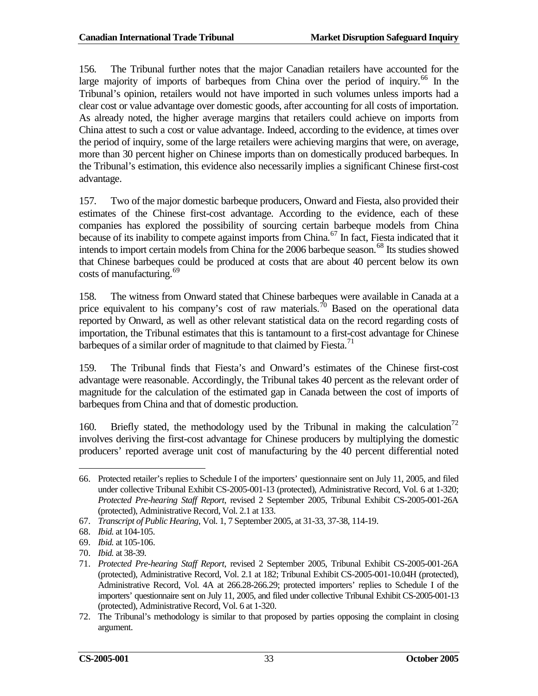156. The Tribunal further notes that the major Canadian retailers have accounted for the large majority of imports of barbeques from China over the period of inquiry.<sup>[66](#page-38-0)</sup> In the Tribunal's opinion, retailers would not have imported in such volumes unless imports had a clear cost or value advantage over domestic goods, after accounting for all costs of importation. As already noted, the higher average margins that retailers could achieve on imports from China attest to such a cost or value advantage. Indeed, according to the evidence, at times over the period of inquiry, some of the large retailers were achieving margins that were, on average, more than 30 percent higher on Chinese imports than on domestically produced barbeques. In the Tribunal's estimation, this evidence also necessarily implies a significant Chinese first-cost advantage.

157. Two of the major domestic barbeque producers, Onward and Fiesta, also provided their estimates of the Chinese first-cost advantage. According to the evidence, each of these companies has explored the possibility of sourcing certain barbeque models from China because of its inability to compete against imports from China.<sup>[67](#page-38-1)</sup> In fact, Fiesta indicated that it intends to import certain models from China for the 2006 barbeque season.<sup>[68](#page-38-2)</sup> Its studies showed that Chinese barbeques could be produced at costs that are about 40 percent below its own costs of manufacturing.<sup>[69](#page-38-3)</sup>

158. The witness from Onward stated that Chinese barbeques were available in Canada at a price equivalent to his company's cost of raw materials.<sup>[70](#page-38-4)</sup> Based on the operational data reported by Onward, as well as other relevant statistical data on the record regarding costs of importation, the Tribunal estimates that this is tantamount to a first-cost advantage for Chinese barbeques of a similar order of magnitude to that claimed by Fiesta.<sup>[71](#page-38-5)</sup>

159. The Tribunal finds that Fiesta's and Onward's estimates of the Chinese first-cost advantage were reasonable. Accordingly, the Tribunal takes 40 percent as the relevant order of magnitude for the calculation of the estimated gap in Canada between the cost of imports of barbeques from China and that of domestic production.

160. Briefly stated, the methodology used by the Tribunal in making the calculation<sup>[72](#page-38-6)</sup> involves deriving the first-cost advantage for Chinese producers by multiplying the domestic producers' reported average unit cost of manufacturing by the 40 percent differential noted

<span id="page-38-0"></span><sup>66.</sup> Protected retailer's replies to Schedule I of the importers' questionnaire sent on July 11, 2005, and filed under collective Tribunal Exhibit CS-2005-001-13 (protected), Administrative Record, Vol. 6 at 1-320; *Protected Pre-hearing Staff Report*, revised 2 September 2005, Tribunal Exhibit CS-2005-001-26A (protected), Administrative Record, Vol. 2.1 at 133.  $\overline{a}$ 

<span id="page-38-1"></span><sup>67.</sup> *Transcript of Public Hearing*, Vol. 1, 7 September 2005, at 31-33, 37-38, 114-19.

<span id="page-38-2"></span><sup>68.</sup> *Ibid.* at 104-105.

<span id="page-38-4"></span><span id="page-38-3"></span><sup>69.</sup> *Ibid.* at 105-106.

<sup>70.</sup> *Ibid.* at 38-39.

<span id="page-38-5"></span><sup>71.</sup> *Protected Pre-hearing Staff Report*, revised 2 September 2005, Tribunal Exhibit CS-2005-001-26A (protected), Administrative Record, Vol. 2.1 at 182; Tribunal Exhibit CS-2005-001-10.04H (protected), Administrative Record, Vol. 4A at 266.28-266.29; protected importers' replies to Schedule I of the importers' questionnaire sent on July 11, 2005, and filed under collective Tribunal Exhibit CS-2005-001-13 (protected), Administrative Record, Vol. 6 at 1-320.

<span id="page-38-6"></span><sup>72.</sup> The Tribunal's methodology is similar to that proposed by parties opposing the complaint in closing argument.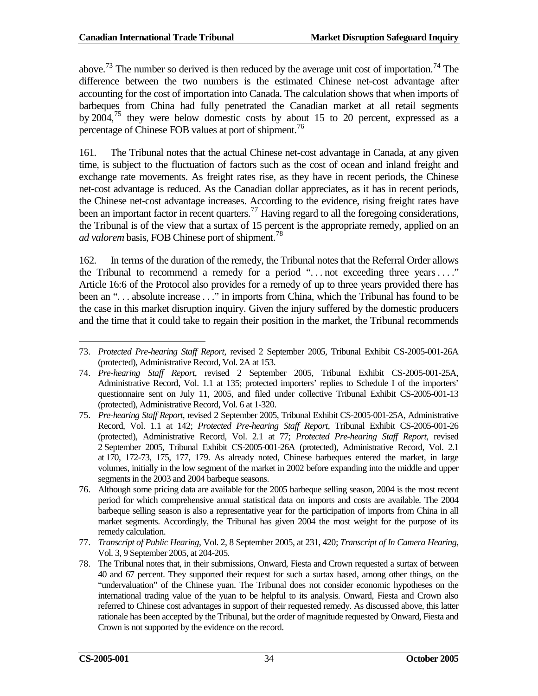above.<sup>[73](#page-39-0)</sup> The number so derived is then reduced by the average unit cost of importation.<sup>[74](#page-39-1)</sup> The difference between the two numbers is the estimated Chinese net-cost advantage after accounting for the cost of importation into Canada. The calculation shows that when imports of barbeques from China had fully penetrated the Canadian market at all retail segments by 2004,<sup>[75](#page-39-2)</sup> they were below domestic costs by about 15 to 20 percent, expressed as a percentage of Chinese FOB values at port of shipment.<sup>[76](#page-39-3)</sup>

161. The Tribunal notes that the actual Chinese net-cost advantage in Canada, at any given time, is subject to the fluctuation of factors such as the cost of ocean and inland freight and exchange rate movements. As freight rates rise, as they have in recent periods, the Chinese net-cost advantage is reduced. As the Canadian dollar appreciates, as it has in recent periods, the Chinese net-cost advantage increases. According to the evidence, rising freight rates have been an important factor in recent quarters.<sup>[77](#page-39-4)</sup> Having regard to all the foregoing considerations, the Tribunal is of the view that a surtax of 15 percent is the appropriate remedy, applied on an *ad valorem* basis, FOB Chinese port of shipment. [78](#page-39-5)

162. In terms of the duration of the remedy, the Tribunal notes that the Referral Order allows the Tribunal to recommend a remedy for a period "... not exceeding three years ...." Article 16:6 of the Protocol also provides for a remedy of up to three years provided there has been an "... absolute increase ..." in imports from China, which the Tribunal has found to be the case in this market disruption inquiry. Given the injury suffered by the domestic producers and the time that it could take to regain their position in the market, the Tribunal recommends

<span id="page-39-0"></span><sup>73.</sup> *Protected Pre-hearing Staff Report*, revised 2 September 2005, Tribunal Exhibit CS-2005-001-26A (protected), Administrative Record, Vol. 2A at 153.  $\overline{a}$ 

<span id="page-39-1"></span><sup>74.</sup> *Pre-hearing Staff Report*, revised 2 September 2005, Tribunal Exhibit CS-2005-001-25A, Administrative Record, Vol. 1.1 at 135; protected importers' replies to Schedule I of the importers' questionnaire sent on July 11, 2005, and filed under collective Tribunal Exhibit CS-2005-001-13 (protected), Administrative Record, Vol. 6 at 1-320.

<span id="page-39-2"></span><sup>75.</sup> *Pre-hearing Staff Report*, revised 2 September 2005, Tribunal Exhibit CS-2005-001-25A, Administrative Record, Vol. 1.1 at 142; *Protected Pre-hearing Staff Report*, Tribunal Exhibit CS-2005-001-26 (protected), Administrative Record, Vol. 2.1 at 77; *Protected Pre-hearing Staff Report*, revised 2 September 2005, Tribunal Exhibit CS-2005-001-26A (protected), Administrative Record, Vol. 2.1 at 170, 172-73, 175, 177, 179. As already noted, Chinese barbeques entered the market, in large volumes, initially in the low segment of the market in 2002 before expanding into the middle and upper segments in the 2003 and 2004 barbeque seasons.

<span id="page-39-3"></span><sup>76.</sup> Although some pricing data are available for the 2005 barbeque selling season, 2004 is the most recent period for which comprehensive annual statistical data on imports and costs are available. The 2004 barbeque selling season is also a representative year for the participation of imports from China in all market segments. Accordingly, the Tribunal has given 2004 the most weight for the purpose of its remedy calculation.

<span id="page-39-4"></span><sup>77.</sup> *Transcript of Public Hearing*, Vol. 2, 8 September 2005, at 231, 420; *Transcript of In Camera Hearing*, Vol. 3, 9 September 2005, at 204-205.

<span id="page-39-5"></span><sup>78.</sup> The Tribunal notes that, in their submissions, Onward, Fiesta and Crown requested a surtax of between 40 and 67 percent. They supported their request for such a surtax based, among other things, on the "undervaluation" of the Chinese yuan. The Tribunal does not consider economic hypotheses on the international trading value of the yuan to be helpful to its analysis. Onward, Fiesta and Crown also referred to Chinese cost advantages in support of their requested remedy. As discussed above, this latter rationale has been accepted by the Tribunal, but the order of magnitude requested by Onward, Fiesta and Crown is not supported by the evidence on the record.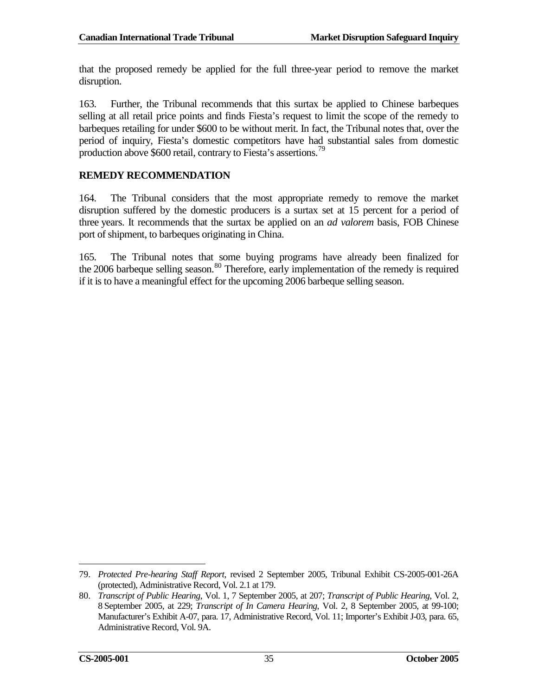that the proposed remedy be applied for the full three-year period to remove the market disruption.

163. Further, the Tribunal recommends that this surtax be applied to Chinese barbeques selling at all retail price points and finds Fiesta's request to limit the scope of the remedy to barbeques retailing for under \$600 to be without merit. In fact, the Tribunal notes that, over the period of inquiry, Fiesta's domestic competitors have had substantial sales from domestic production above \$600 retail, contrary to Fiesta's assertions.<sup>[79](#page-40-1)</sup>

### <span id="page-40-0"></span>**REMEDY RECOMMENDATION**

164. The Tribunal considers that the most appropriate remedy to remove the market disruption suffered by the domestic producers is a surtax set at 15 percent for a period of three years. It recommends that the surtax be applied on an *ad valorem* basis, FOB Chinese port of shipment, to barbeques originating in China.

165. The Tribunal notes that some buying programs have already been finalized for the 2006 barbeque selling season.<sup>[80](#page-40-2)</sup> Therefore, early implementation of the remedy is required if it is to have a meaningful effect for the upcoming 2006 barbeque selling season.

 $\overline{a}$ 

<span id="page-40-1"></span><sup>79.</sup> *Protected Pre-hearing Staff Report*, revised 2 September 2005, Tribunal Exhibit CS-2005-001-26A (protected), Administrative Record, Vol. 2.1 at 179.

<span id="page-40-2"></span><sup>80.</sup> *Transcript of Public Hearing*, Vol. 1, 7 September 2005, at 207; *Transcript of Public Hearing*, Vol. 2, 8 September 2005, at 229; *Transcript of In Camera Hearing*, Vol. 2, 8 September 2005, at 99-100; Manufacturer's Exhibit A-07, para. 17, Administrative Record, Vol. 11; Importer's Exhibit J-03, para. 65, Administrative Record, Vol. 9A.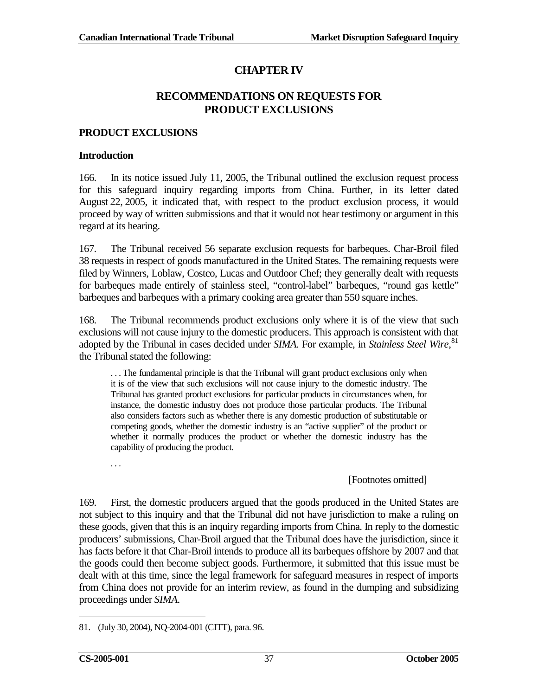# **CHAPTER IV**

# **RECOMMENDATIONS ON REQUESTS FOR PRODUCT EXCLUSIONS**

### <span id="page-42-1"></span><span id="page-42-0"></span>**PRODUCT EXCLUSIONS**

#### **Introduction**

166. In its notice issued July 11, 2005, the Tribunal outlined the exclusion request process for this safeguard inquiry regarding imports from China. Further, in its letter dated August 22, 2005, it indicated that, with respect to the product exclusion process, it would proceed by way of written submissions and that it would not hear testimony or argument in this regard at its hearing.

167. The Tribunal received 56 separate exclusion requests for barbeques. Char-Broil filed 38 requests in respect of goods manufactured in the United States. The remaining requests were filed by Winners, Loblaw, Costco, Lucas and Outdoor Chef; they generally dealt with requests for barbeques made entirely of stainless steel, "control-label" barbeques, "round gas kettle" barbeques and barbeques with a primary cooking area greater than 550 square inches.

168. The Tribunal recommends product exclusions only where it is of the view that such exclusions will not cause injury to the domestic producers. This approach is consistent with that adopted by the Tribunal in cases decided under *SIMA*. For example, in *Stainless Steel Wire*, [81](#page-42-2) the Tribunal stated the following:

. . . The fundamental principle is that the Tribunal will grant product exclusions only when it is of the view that such exclusions will not cause injury to the domestic industry. The Tribunal has granted product exclusions for particular products in circumstances when, for instance, the domestic industry does not produce those particular products. The Tribunal also considers factors such as whether there is any domestic production of substitutable or competing goods, whether the domestic industry is an "active supplier" of the product or whether it normally produces the product or whether the domestic industry has the capability of producing the product.

. . .

### [Footnotes omitted]

169. First, the domestic producers argued that the goods produced in the United States are not subject to this inquiry and that the Tribunal did not have jurisdiction to make a ruling on these goods, given that this is an inquiry regarding imports from China. In reply to the domestic producers' submissions, Char-Broil argued that the Tribunal does have the jurisdiction, since it has facts before it that Char-Broil intends to produce all its barbeques offshore by 2007 and that the goods could then become subject goods. Furthermore, it submitted that this issue must be dealt with at this time, since the legal framework for safeguard measures in respect of imports from China does not provide for an interim review, as found in the dumping and subsidizing proceedings under *SIMA*.

<span id="page-42-2"></span><sup>81.</sup> (July 30, 2004), NQ-2004-001 (CITT), para. 96.  $\overline{a}$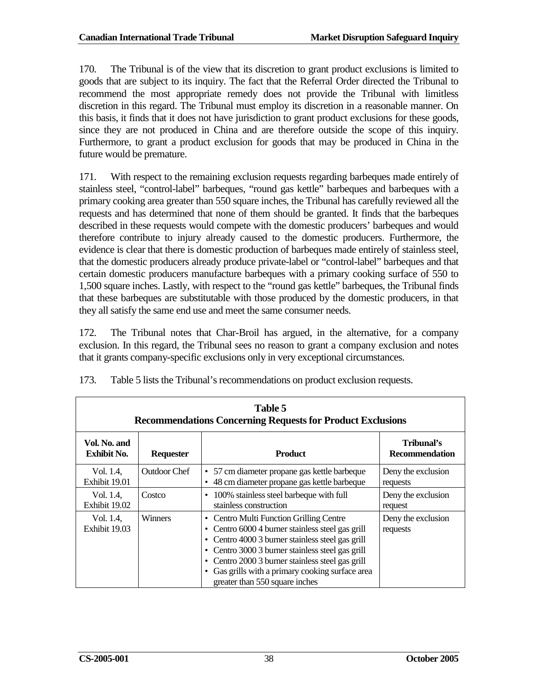170. The Tribunal is of the view that its discretion to grant product exclusions is limited to goods that are subject to its inquiry. The fact that the Referral Order directed the Tribunal to recommend the most appropriate remedy does not provide the Tribunal with limitless discretion in this regard. The Tribunal must employ its discretion in a reasonable manner. On this basis, it finds that it does not have jurisdiction to grant product exclusions for these goods, since they are not produced in China and are therefore outside the scope of this inquiry. Furthermore, to grant a product exclusion for goods that may be produced in China in the future would be premature.

171. With respect to the remaining exclusion requests regarding barbeques made entirely of stainless steel, "control-label" barbeques, "round gas kettle" barbeques and barbeques with a primary cooking area greater than 550 square inches, the Tribunal has carefully reviewed all the requests and has determined that none of them should be granted. It finds that the barbeques described in these requests would compete with the domestic producers' barbeques and would therefore contribute to injury already caused to the domestic producers. Furthermore, the evidence is clear that there is domestic production of barbeques made entirely of stainless steel, that the domestic producers already produce private-label or "control-label" barbeques and that certain domestic producers manufacture barbeques with a primary cooking surface of 550 to 1,500 square inches. Lastly, with respect to the "round gas kettle" barbeques, the Tribunal finds that these barbeques are substitutable with those produced by the domestic producers, in that they all satisfy the same end use and meet the same consumer needs.

172. The Tribunal notes that Char-Broil has argued, in the alternative, for a company exclusion. In this regard, the Tribunal sees no reason to grant a company exclusion and notes that it grants company-specific exclusions only in very exceptional circumstances.

| Table 5<br><b>Recommendations Concerning Requests for Product Exclusions</b> |                  |                                                                                                                                                                                                                                                                                                                                                          |                                     |  |  |
|------------------------------------------------------------------------------|------------------|----------------------------------------------------------------------------------------------------------------------------------------------------------------------------------------------------------------------------------------------------------------------------------------------------------------------------------------------------------|-------------------------------------|--|--|
| Vol. No. and<br><b>Exhibit No.</b>                                           | <b>Requester</b> | <b>Product</b>                                                                                                                                                                                                                                                                                                                                           | Tribunal's<br><b>Recommendation</b> |  |  |
| Vol. 1.4,<br>Exhibit 19.01                                                   | Outdoor Chef     | • 57 cm diameter propane gas kettle barbeque<br>48 cm diameter propane gas kettle barbeque                                                                                                                                                                                                                                                               | Deny the exclusion<br>requests      |  |  |
| Vol. 1.4,<br>Exhibit 19.02                                                   | Costco           | 100% stainless steel barbeque with full<br>٠<br>stainless construction                                                                                                                                                                                                                                                                                   | Deny the exclusion<br>request       |  |  |
| Vol. 1.4,<br>Exhibit 19.03                                                   | Winners          | Centro Multi Function Grilling Centre<br>Centro 6000 4 burner stainless steel gas grill<br>Centro 4000 3 burner stainless steel gas grill<br>٠<br>Centro 3000 3 burner stainless steel gas grill<br>٠<br>Centro 2000 3 burner stainless steel gas grill<br>$\bullet$<br>Gas grills with a primary cooking surface area<br>greater than 550 square inches | Deny the exclusion<br>requests      |  |  |

173. Table 5 lists the Tribunal's recommendations on product exclusion requests.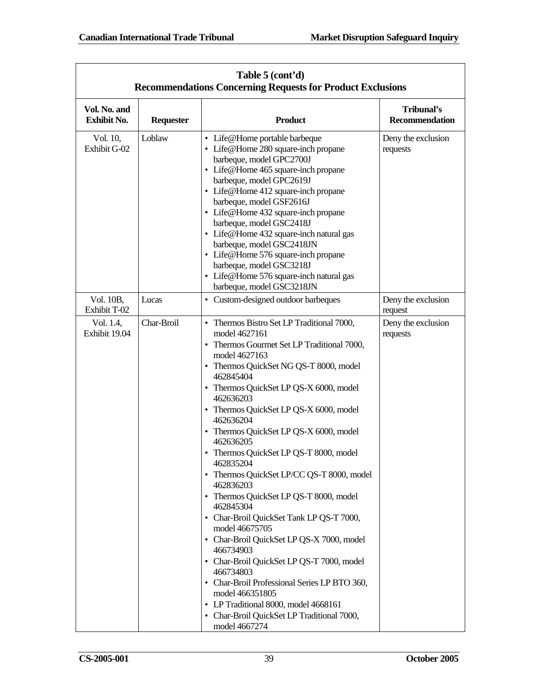| Table 5 (cont'd)<br><b>Recommendations Concerning Requests for Product Exclusions</b> |                  |                                                                                                                                                                                                                                                                                                                                                                                                                                                                                                                                                                                                                                                                                                                                                                                                                                                                                           |                                     |  |  |
|---------------------------------------------------------------------------------------|------------------|-------------------------------------------------------------------------------------------------------------------------------------------------------------------------------------------------------------------------------------------------------------------------------------------------------------------------------------------------------------------------------------------------------------------------------------------------------------------------------------------------------------------------------------------------------------------------------------------------------------------------------------------------------------------------------------------------------------------------------------------------------------------------------------------------------------------------------------------------------------------------------------------|-------------------------------------|--|--|
| Vol. No. and<br><b>Exhibit No.</b>                                                    | <b>Requester</b> | <b>Product</b>                                                                                                                                                                                                                                                                                                                                                                                                                                                                                                                                                                                                                                                                                                                                                                                                                                                                            | Tribunal's<br><b>Recommendation</b> |  |  |
| Vol. 10,<br>Exhibit G-02                                                              | Loblaw           | • Life@Home portable barbeque<br>• Life@Home 280 square-inch propane<br>barbeque, model GPC2700J<br>• Life@Home 465 square-inch propane<br>barbeque, model GPC2619J<br>• Life@Home 412 square-inch propane<br>barbeque, model GSF2616J<br>• Life@Home 432 square-inch propane<br>barbeque, model GSC2418J<br>• Life@Home 432 square-inch natural gas<br>barbeque, model GSC2418JN<br>• Life@Home 576 square-inch propane<br>barbeque, model GSC3218J<br>• Life@Home 576 square-inch natural gas<br>barbeque, model GSC3218JN                                                                                                                                                                                                                                                                                                                                                              | Deny the exclusion<br>requests      |  |  |
| Vol. 10B,<br>Exhibit T-02                                                             | Lucas            | • Custom-designed outdoor barbeques                                                                                                                                                                                                                                                                                                                                                                                                                                                                                                                                                                                                                                                                                                                                                                                                                                                       | Deny the exclusion<br>request       |  |  |
| Vol. 1.4,<br>Exhibit 19.04                                                            | Char-Broil       | • Thermos Bistro Set LP Traditional 7000,<br>model 4627161<br>• Thermos Gourmet Set LP Traditional 7000,<br>model 4627163<br>• Thermos QuickSet NG QS-T 8000, model<br>462845404<br>• Thermos QuickSet LP QS-X 6000, model<br>462636203<br>• Thermos QuickSet LP QS-X 6000, model<br>462636204<br>• Thermos QuickSet LP QS-X 6000, model<br>462636205<br>• Thermos QuickSet LP QS-T 8000, model<br>462835204<br>• Thermos QuickSet LP/CC QS-T 8000, model<br>462836203<br>• Thermos QuickSet LP QS-T 8000, model<br>462845304<br>• Char-Broil QuickSet Tank LP QS-T 7000,<br>model 46675705<br>• Char-Broil QuickSet LP QS-X 7000, model<br>466734903<br>• Char-Broil QuickSet LP QS-T 7000, model<br>466734803<br>• Char-Broil Professional Series LP BTO 360,<br>model 466351805<br>• LP Traditional 8000, model 4668161<br>• Char-Broil QuickSet LP Traditional 7000,<br>model 4667274 | Deny the exclusion<br>requests      |  |  |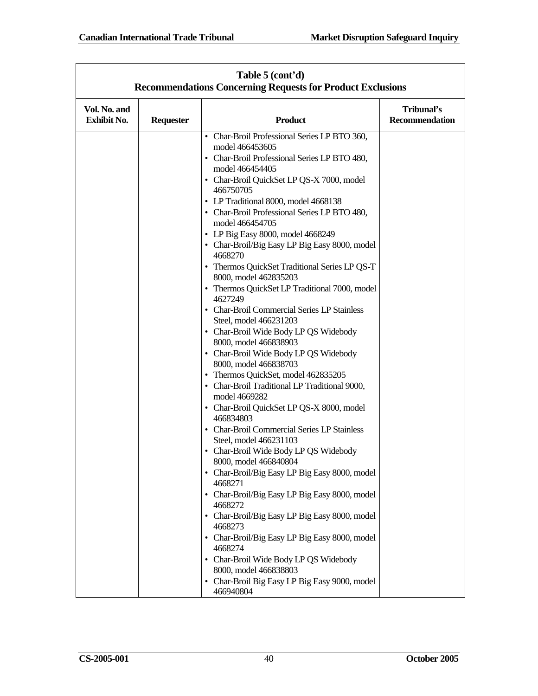| Table 5 (cont'd)<br><b>Recommendations Concerning Requests for Product Exclusions</b> |                  |                                                                                                                                                                                                                                                                                                                                                                                                                                                                                                                                                                                                                                                                                                                                                                                                                                                                                                                                                                                                                                                                                                                                                                                                                                                                                                                                                                                                                                                                      |                              |  |  |
|---------------------------------------------------------------------------------------|------------------|----------------------------------------------------------------------------------------------------------------------------------------------------------------------------------------------------------------------------------------------------------------------------------------------------------------------------------------------------------------------------------------------------------------------------------------------------------------------------------------------------------------------------------------------------------------------------------------------------------------------------------------------------------------------------------------------------------------------------------------------------------------------------------------------------------------------------------------------------------------------------------------------------------------------------------------------------------------------------------------------------------------------------------------------------------------------------------------------------------------------------------------------------------------------------------------------------------------------------------------------------------------------------------------------------------------------------------------------------------------------------------------------------------------------------------------------------------------------|------------------------------|--|--|
| Vol. No. and<br><b>Exhibit No.</b>                                                    | <b>Requester</b> | <b>Product</b>                                                                                                                                                                                                                                                                                                                                                                                                                                                                                                                                                                                                                                                                                                                                                                                                                                                                                                                                                                                                                                                                                                                                                                                                                                                                                                                                                                                                                                                       | Tribunal's<br>Recommendation |  |  |
|                                                                                       |                  | • Char-Broil Professional Series LP BTO 360,<br>model 466453605<br>• Char-Broil Professional Series LP BTO 480,<br>model 466454405<br>• Char-Broil QuickSet LP QS-X 7000, model<br>466750705<br>• LP Traditional 8000, model 4668138<br>• Char-Broil Professional Series LP BTO 480,<br>model 466454705<br>• LP Big Easy 8000, model 4668249<br>• Char-Broil/Big Easy LP Big Easy 8000, model<br>4668270<br>• Thermos QuickSet Traditional Series LP QS-T<br>8000, model 462835203<br>• Thermos QuickSet LP Traditional 7000, model<br>4627249<br>• Char-Broil Commercial Series LP Stainless<br>Steel, model 466231203<br>• Char-Broil Wide Body LP QS Widebody<br>8000, model 466838903<br>• Char-Broil Wide Body LP QS Widebody<br>8000, model 466838703<br>• Thermos QuickSet, model 462835205<br>• Char-Broil Traditional LP Traditional 9000,<br>model 4669282<br>• Char-Broil QuickSet LP QS-X 8000, model<br>466834803<br>• Char-Broil Commercial Series LP Stainless<br>Steel, model 466231103<br>• Char-Broil Wide Body LP QS Widebody<br>8000, model 466840804<br>• Char-Broil/Big Easy LP Big Easy 8000, model<br>4668271<br>• Char-Broil/Big Easy LP Big Easy 8000, model<br>4668272<br>• Char-Broil/Big Easy LP Big Easy 8000, model<br>4668273<br>• Char-Broil/Big Easy LP Big Easy 8000, model<br>4668274<br>• Char-Broil Wide Body LP QS Widebody<br>8000, model 466838803<br>Char-Broil Big Easy LP Big Easy 9000, model<br>$\bullet$<br>466940804 |                              |  |  |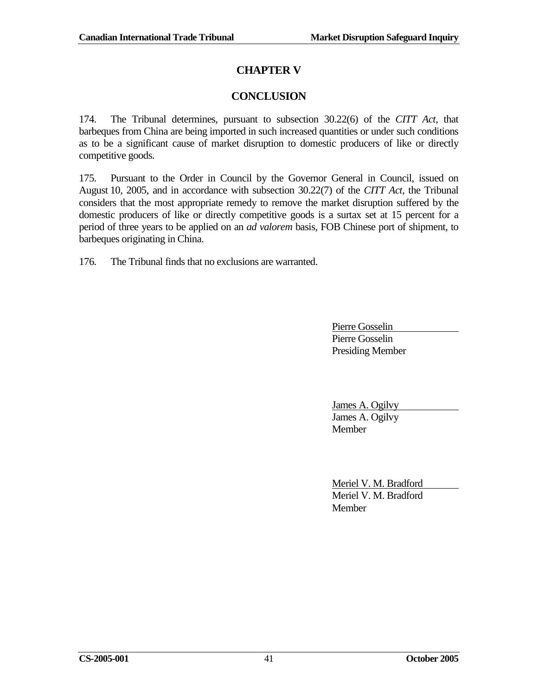# **CHAPTER V**

# **CONCLUSION**

<span id="page-46-0"></span>174. The Tribunal determines, pursuant to subsection 30.22(6) of the *CITT Act*, that barbeques from China are being imported in such increased quantities or under such conditions as to be a significant cause of market disruption to domestic producers of like or directly competitive goods.

175. Pursuant to the Order in Council by the Governor General in Council, issued on August 10, 2005, and in accordance with subsection 30.22(7) of the *CITT Act*, the Tribunal considers that the most appropriate remedy to remove the market disruption suffered by the domestic producers of like or directly competitive goods is a surtax set at 15 percent for a period of three years to be applied on an *ad valorem* basis, FOB Chinese port of shipment, to barbeques originating in China.

176. The Tribunal finds that no exclusions are warranted.

Pierre Gosselin Pierre Gosselin Presiding Member

James A. Ogilvy James A. Ogilvy Member

Meriel V. M. Bradford Meriel V. M. Bradford Member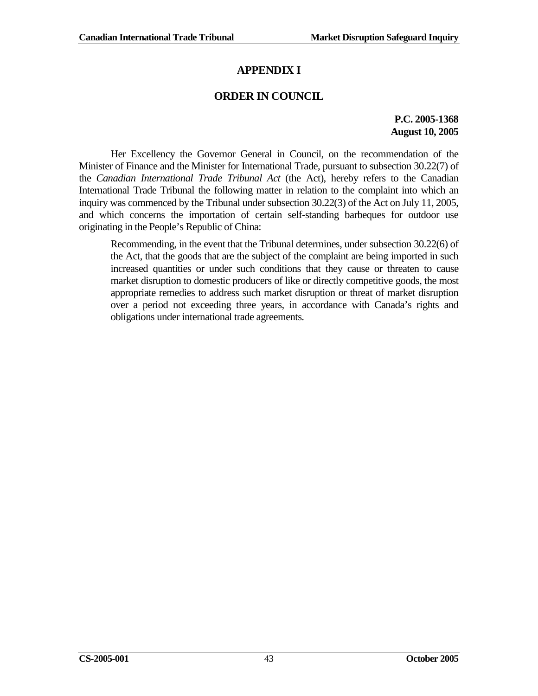# **APPENDIX I**

# **ORDER IN COUNCIL**

**P.C. 2005-1368 August 10, 2005**

Her Excellency the Governor General in Council, on the recommendation of the Minister of Finance and the Minister for International Trade, pursuant to subsection 30.22(7) of the *Canadian International Trade Tribunal Act* (the Act), hereby refers to the Canadian International Trade Tribunal the following matter in relation to the complaint into which an inquiry was commenced by the Tribunal under subsection 30.22(3) of the Act on July 11, 2005, and which concerns the importation of certain self-standing barbeques for outdoor use originating in the People's Republic of China:

Recommending, in the event that the Tribunal determines, under subsection 30.22(6) of the Act, that the goods that are the subject of the complaint are being imported in such increased quantities or under such conditions that they cause or threaten to cause market disruption to domestic producers of like or directly competitive goods, the most appropriate remedies to address such market disruption or threat of market disruption over a period not exceeding three years, in accordance with Canada's rights and obligations under international trade agreements.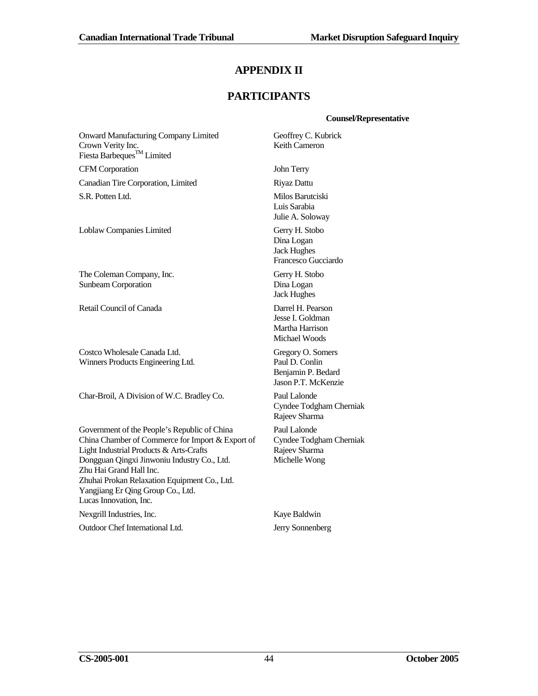# **APPENDIX II**

# **PARTICIPANTS**

#### **Counsel/Representative**

Onward Manufacturing Company Limited Crown Verity Inc. Fiesta Barbeques<sup>TM</sup> Limited Geoffrey C. Kubrick Keith Cameron CFM Corporation John Terry Canadian Tire Corporation, Limited Riyaz Dattu S.R. Potten Ltd. Milos Barutciski Luis Sarabia Julie A. Soloway Loblaw Companies Limited Gerry H. Stobo Dina Logan Jack Hughes The Coleman Company, Inc. Sunbeam Corporation Gerry H. Stobo Dina Logan Jack Hughes Retail Council of Canada Darrel H. Pearson Jesse I. Goldman Martha Harrison Michael Woods Costco Wholesale Canada Ltd. Winners Products Engineering Ltd. Gregory O. Somers Paul D. Conlin Char-Broil, A Division of W.C. Bradley Co. Paul Lalonde Rajeev Sharma Government of the People's Republic of China China Chamber of Commerce for Import & Export of Light Industrial Products & Arts-Crafts Dongguan Qingxi Jinwoniu Industry Co., Ltd. Zhu Hai Grand Hall Inc. Zhuhai Prokan Relaxation Equipment Co., Ltd. Yangjiang Er Qing Group Co., Ltd. Lucas Innovation, Inc. Paul Lalonde Rajeev Sharma Michelle Wong

Nexgrill Industries, Inc. Kaye Baldwin Outdoor Chef International Ltd. Jerry Sonnenberg

Francesco Gucciardo

Benjamin P. Bedard Jason P.T. McKenzie

Cyndee Todgham Cherniak

Cyndee Todgham Cherniak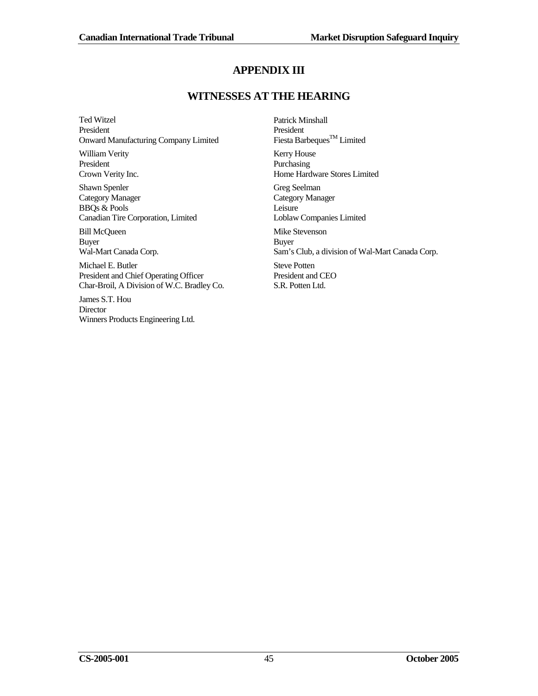# **APPENDIX III**

# **WITNESSES AT THE HEARING**

Ted Witzel President Onward Manufacturing Company Limited

William Verity President Crown Verity Inc.

Shawn Spenler Category Manager BBQs & Pools Canadian Tire Corporation, Limited

Bill McQueen Buyer Wal-Mart Canada Corp.

Michael E. Butler President and Chief Operating Officer Char-Broil, A Division of W.C. Bradley Co.

James S.T. Hou **Director** Winners Products Engineering Ltd. Patrick Minshall President Fiesta Barbeques<sup>TM</sup> Limited

Kerry House Purchasing Home Hardware Stores Limited

Greg Seelman Category Manager Leisure Loblaw Companies Limited

Mike Stevenson Buyer Sam's Club, a division of Wal-Mart Canada Corp. Steve Potten President and CEO S.R. Potten Ltd.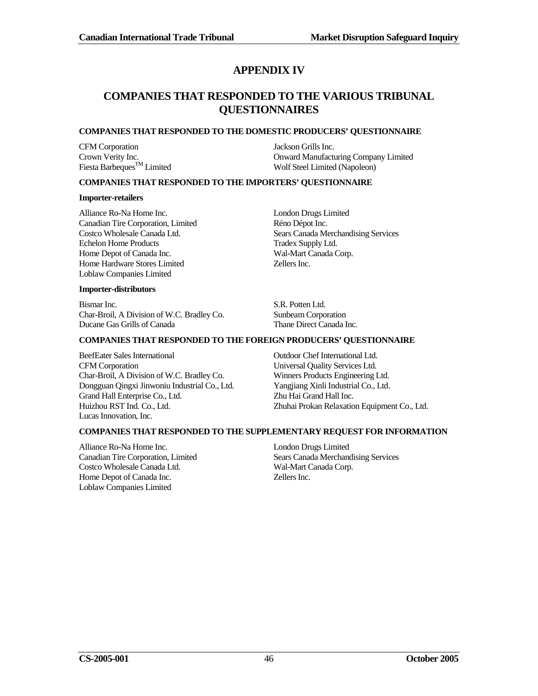# **APPENDIX IV**

# **COMPANIES THAT RESPONDED TO THE VARIOUS TRIBUNAL QUESTIONNAIRES**

#### **COMPANIES THAT RESPONDED TO THE DOMESTIC PRODUCERS' QUESTIONNAIRE**

CFM Corporation Jackson Grills Inc.

Crown Verity Inc.<br>
Fiesta Barbeaues<sup>TM</sup> Limited<br>
Fiesta Barbeaues<sup>TM</sup> Limited<br>
Steel Limited (Napoleon) Wolf Steel Limited (Napoleon)

#### **COMPANIES THAT RESPONDED TO THE IMPORTERS' QUESTIONNAIRE**

#### **Importer-retailers**

Alliance Ro-Na Home Inc. London Drugs Limited Canadian Tire Corporation, Limited Réno Dépot Inc.<br>
Costco Wholesale Canada Ltd. Sears Canada Me Echelon Home Products Tradex Supply Ltd. Home Depot of Canada Inc. Wal-Mart Canada Corp.<br>
Home Hardware Stores Limited 2ellers Inc. 2016 Home Hardware Stores Limited Loblaw Companies Limited

Sears Canada Merchandising Services

#### **Importer-distributors**

Bismar Inc. S.R. Potten Ltd. Char-Broil, A Division of W.C. Bradley Co. Sunbeam Corporation Ducane Gas Grills of Canada Thane Direct Canada Inc.

#### **COMPANIES THAT RESPONDED TO THE FOREIGN PRODUCERS' QUESTIONNAIRE**

BeefEater Sales International Outdoor Chef International Ltd. CFM Corporation Universal Quality Services Ltd. Char-Broil, A Division of W.C. Bradley Co. Winners Products Engineering Ltd. Dongguan Qingxi Jinwoniu Industrial Co., Ltd. Yangjiang Xinli Industrial Co., Ltd. Grand Hall Enterprise Co., Ltd. Zhu Hai Grand Hall Inc. Huizhou RST Ind. Co., Ltd. Zhuhai Prokan Relaxation Equipment Co., Ltd. Lucas Innovation, Inc.

#### **COMPANIES THAT RESPONDED TO THE SUPPLEMENTARY REQUEST FOR INFORMATION**

Alliance Ro-Na Home Inc. London Drugs Limited Costco Wholesale Canada Ltd. Wal-Mart Canada Corp. Home Depot of Canada Inc. Loblaw Companies Limited

Canadian Tire Corporation, Limited Sears Canada Merchandising Services